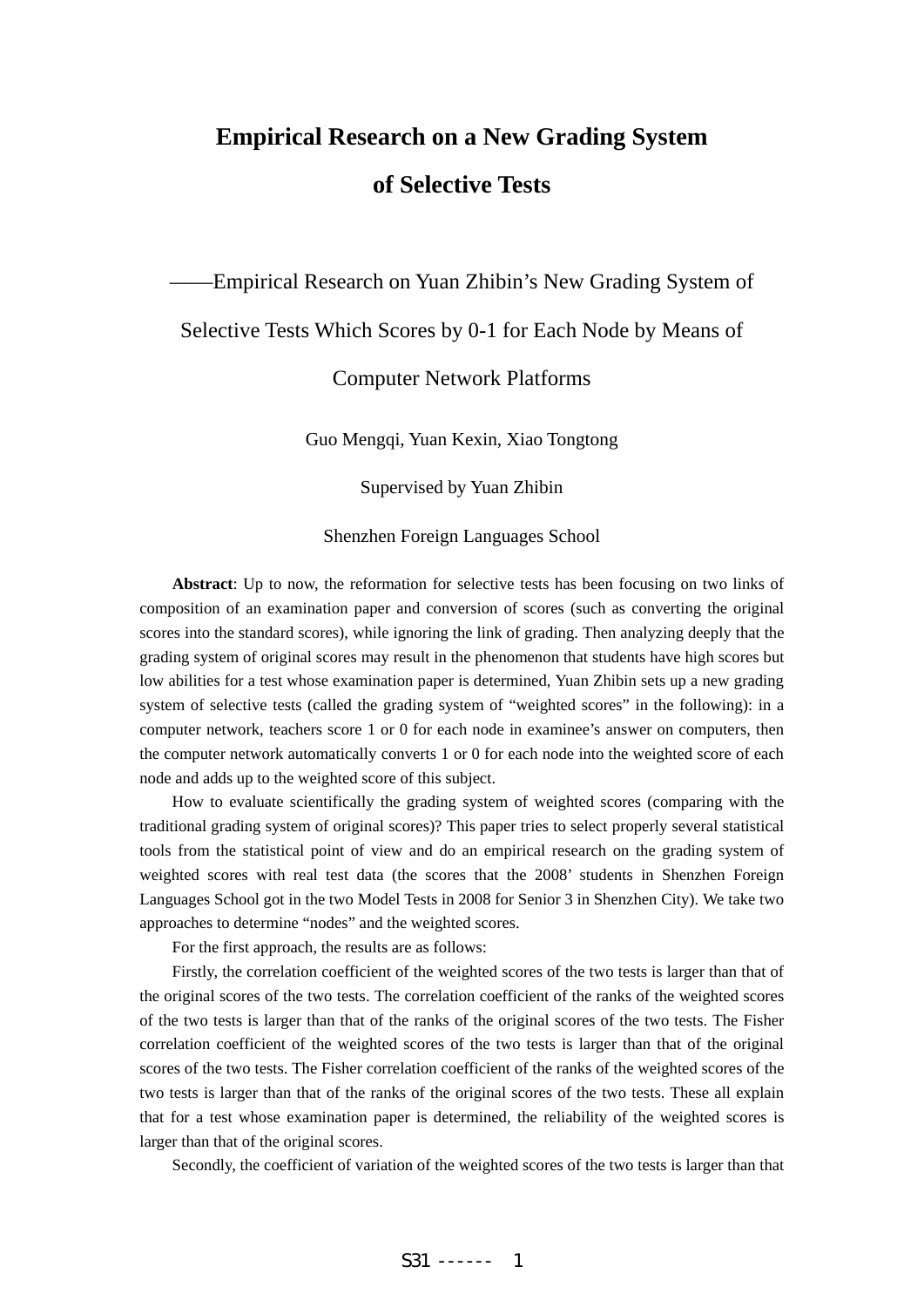# **Empirical Research on a New Grading System of Selective Tests**

——Empirical Research on Yuan Zhibin's New Grading System of

# Selective Tests Which Scores by 0-1 for Each Node by Means of

#### Computer Network Platforms

Guo Mengqi, Yuan Kexin, Xiao Tongtong

Supervised by Yuan Zhibin

Shenzhen Foreign Languages School

**Abstract**: Up to now, the reformation for selective tests has been focusing on two links of composition of an examination paper and conversion of scores (such as converting the original scores into the standard scores), while ignoring the link of grading. Then analyzing deeply that the grading system of original scores may result in the phenomenon that students have high scores but low abilities for a test whose examination paper is determined, Yuan Zhibin sets up a new grading system of selective tests (called the grading system of "weighted scores" in the following): in a computer network, teachers score 1 or 0 for each node in examinee's answer on computers, then the computer network automatically converts 1 or 0 for each node into the weighted score of each node and adds up to the weighted score of this subject.

How to evaluate scientifically the grading system of weighted scores (comparing with the traditional grading system of original scores)? This paper tries to select properly several statistical tools from the statistical point of view and do an empirical research on the grading system of weighted scores with real test data (the scores that the 2008' students in Shenzhen Foreign Languages School got in the two Model Tests in 2008 for Senior 3 in Shenzhen City). We take two approaches to determine "nodes" and the weighted scores.

For the first approach, the results are as follows:

Firstly, the correlation coefficient of the weighted scores of the two tests is larger than that of the original scores of the two tests. The correlation coefficient of the ranks of the weighted scores of the two tests is larger than that of the ranks of the original scores of the two tests. The Fisher correlation coefficient of the weighted scores of the two tests is larger than that of the original scores of the two tests. The Fisher correlation coefficient of the ranks of the weighted scores of the two tests is larger than that of the ranks of the original scores of the two tests. These all explain that for a test whose examination paper is determined, the reliability of the weighted scores is larger than that of the original scores.

Secondly, the coefficient of variation of the weighted scores of the two tests is larger than that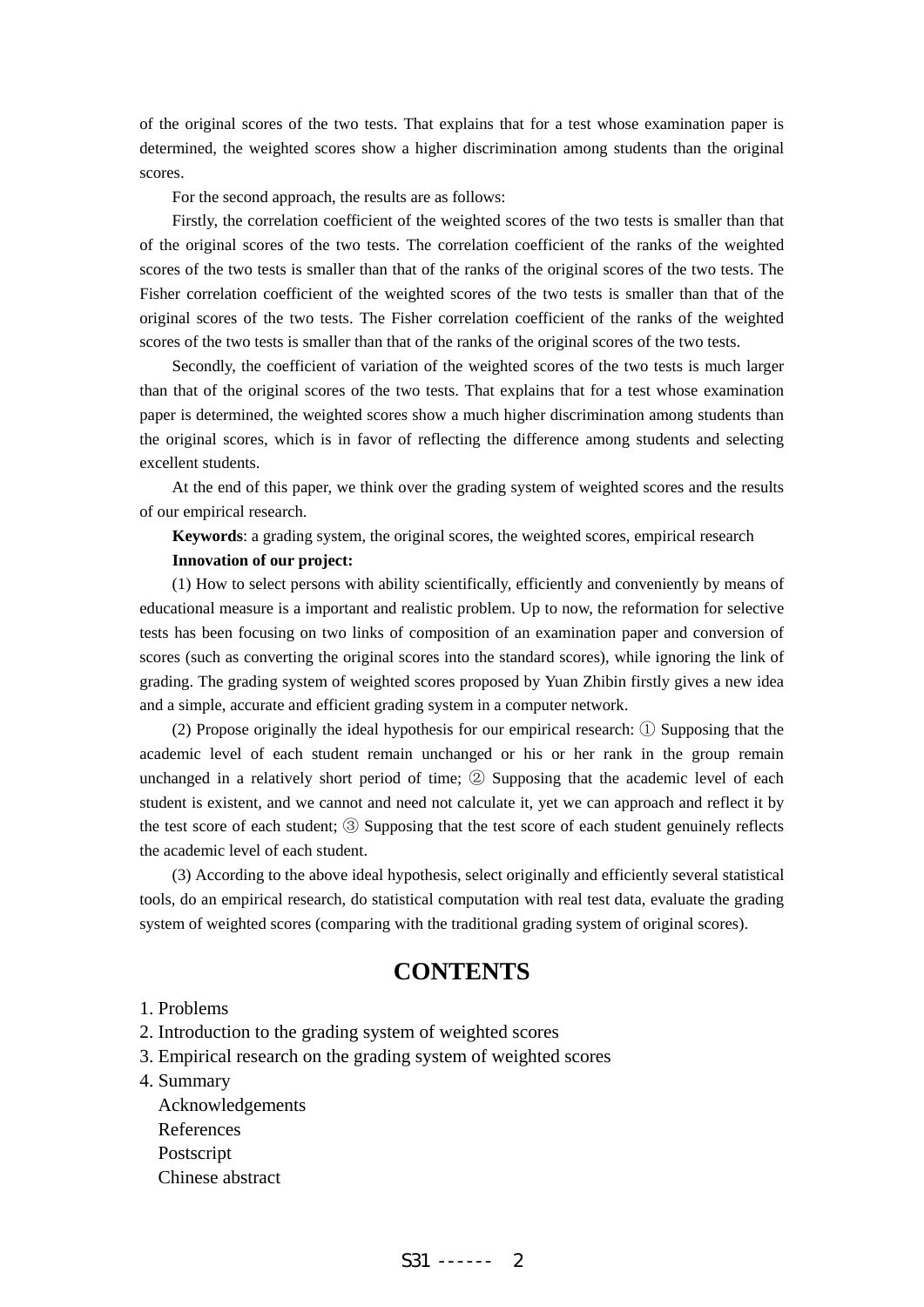of the original scores of the two tests. That explains that for a test whose examination paper is determined, the weighted scores show a higher discrimination among students than the original scores.

For the second approach, the results are as follows:

Firstly, the correlation coefficient of the weighted scores of the two tests is smaller than that of the original scores of the two tests. The correlation coefficient of the ranks of the weighted scores of the two tests is smaller than that of the ranks of the original scores of the two tests. The Fisher correlation coefficient of the weighted scores of the two tests is smaller than that of the original scores of the two tests. The Fisher correlation coefficient of the ranks of the weighted scores of the two tests is smaller than that of the ranks of the original scores of the two tests.

Secondly, the coefficient of variation of the weighted scores of the two tests is much larger than that of the original scores of the two tests. That explains that for a test whose examination paper is determined, the weighted scores show a much higher discrimination among students than the original scores, which is in favor of reflecting the difference among students and selecting excellent students.

At the end of this paper, we think over the grading system of weighted scores and the results of our empirical research.

**Keywords**: a grading system, the original scores, the weighted scores, empirical research **Innovation of our project:** 

(1) How to select persons with ability scientifically, efficiently and conveniently by means of educational measure is a important and realistic problem. Up to now, the reformation for selective tests has been focusing on two links of composition of an examination paper and conversion of scores (such as converting the original scores into the standard scores), while ignoring the link of grading. The grading system of weighted scores proposed by Yuan Zhibin firstly gives a new idea and a simple, accurate and efficient grading system in a computer network.

(2) Propose originally the ideal hypothesis for our empirical research: ① Supposing that the academic level of each student remain unchanged or his or her rank in the group remain unchanged in a relatively short period of time; ② Supposing that the academic level of each student is existent, and we cannot and need not calculate it, yet we can approach and reflect it by the test score of each student; ③ Supposing that the test score of each student genuinely reflects the academic level of each student.

(3) According to the above ideal hypothesis, select originally and efficiently several statistical tools, do an empirical research, do statistical computation with real test data, evaluate the grading system of weighted scores (comparing with the traditional grading system of original scores).

# **CONTENTS**

#### 1. Problems

- 2. Introduction to the grading system of weighted scores
- 3. Empirical research on the grading system of weighted scores
- 4. Summary
	- Acknowledgements References Postscript Chinese abstract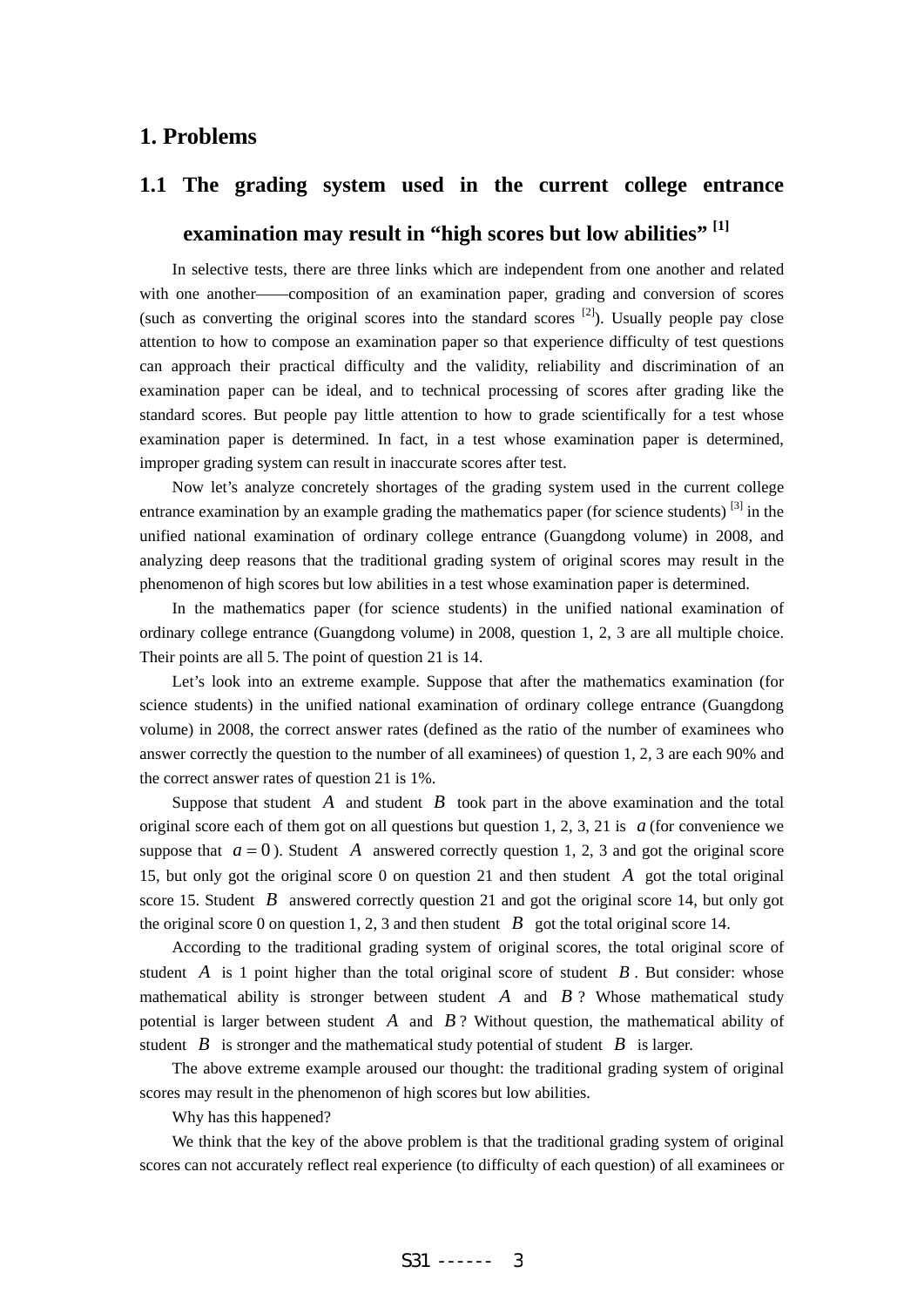# **1. Problems**

# **1.1 The grading system used in the current college entrance**  examination may result in "high scores but low abilities"<sup>[1]</sup>

In selective tests, there are three links which are independent from one another and related with one another——composition of an examination paper, grading and conversion of scores (such as converting the original scores into the standard scores  $[2]$ ). Usually people pay close attention to how to compose an examination paper so that experience difficulty of test questions can approach their practical difficulty and the validity, reliability and discrimination of an examination paper can be ideal, and to technical processing of scores after grading like the standard scores. But people pay little attention to how to grade scientifically for a test whose examination paper is determined. In fact, in a test whose examination paper is determined, improper grading system can result in inaccurate scores after test.

Now let's analyze concretely shortages of the grading system used in the current college entrance examination by an example grading the mathematics paper (for science students)  $^{[3]}$  in the unified national examination of ordinary college entrance (Guangdong volume) in 2008, and analyzing deep reasons that the traditional grading system of original scores may result in the phenomenon of high scores but low abilities in a test whose examination paper is determined.

In the mathematics paper (for science students) in the unified national examination of ordinary college entrance (Guangdong volume) in 2008, question 1, 2, 3 are all multiple choice. Their points are all 5. The point of question 21 is 14.

Let's look into an extreme example. Suppose that after the mathematics examination (for science students) in the unified national examination of ordinary college entrance (Guangdong volume) in 2008, the correct answer rates (defined as the ratio of the number of examinees who answer correctly the question to the number of all examinees) of question 1, 2, 3 are each 90% and the correct answer rates of question 21 is 1%.

Suppose that student  $A$  and student  $B$  took part in the above examination and the total original score each of them got on all questions but question 1, 2, 3, 21 is  $a$  (for convenience we suppose that  $a = 0$ ). Student A answered correctly question 1, 2, 3 and got the original score 15, but only got the original score 0 on question 21 and then student *A* got the total original score 15. Student *B* answered correctly question 21 and got the original score 14, but only got the original score 0 on question 1, 2, 3 and then student  $\vec{B}$  got the total original score 14.

According to the traditional grading system of original scores, the total original score of student  $A$  is 1 point higher than the total original score of student  $B$ . But consider: whose mathematical ability is stronger between student *A* and *B* ? Whose mathematical study potential is larger between student *A* and *B* ? Without question, the mathematical ability of student *B* is stronger and the mathematical study potential of student *B* is larger.

The above extreme example aroused our thought: the traditional grading system of original scores may result in the phenomenon of high scores but low abilities.

Why has this happened?

We think that the key of the above problem is that the traditional grading system of original scores can not accurately reflect real experience (to difficulty of each question) of all examinees or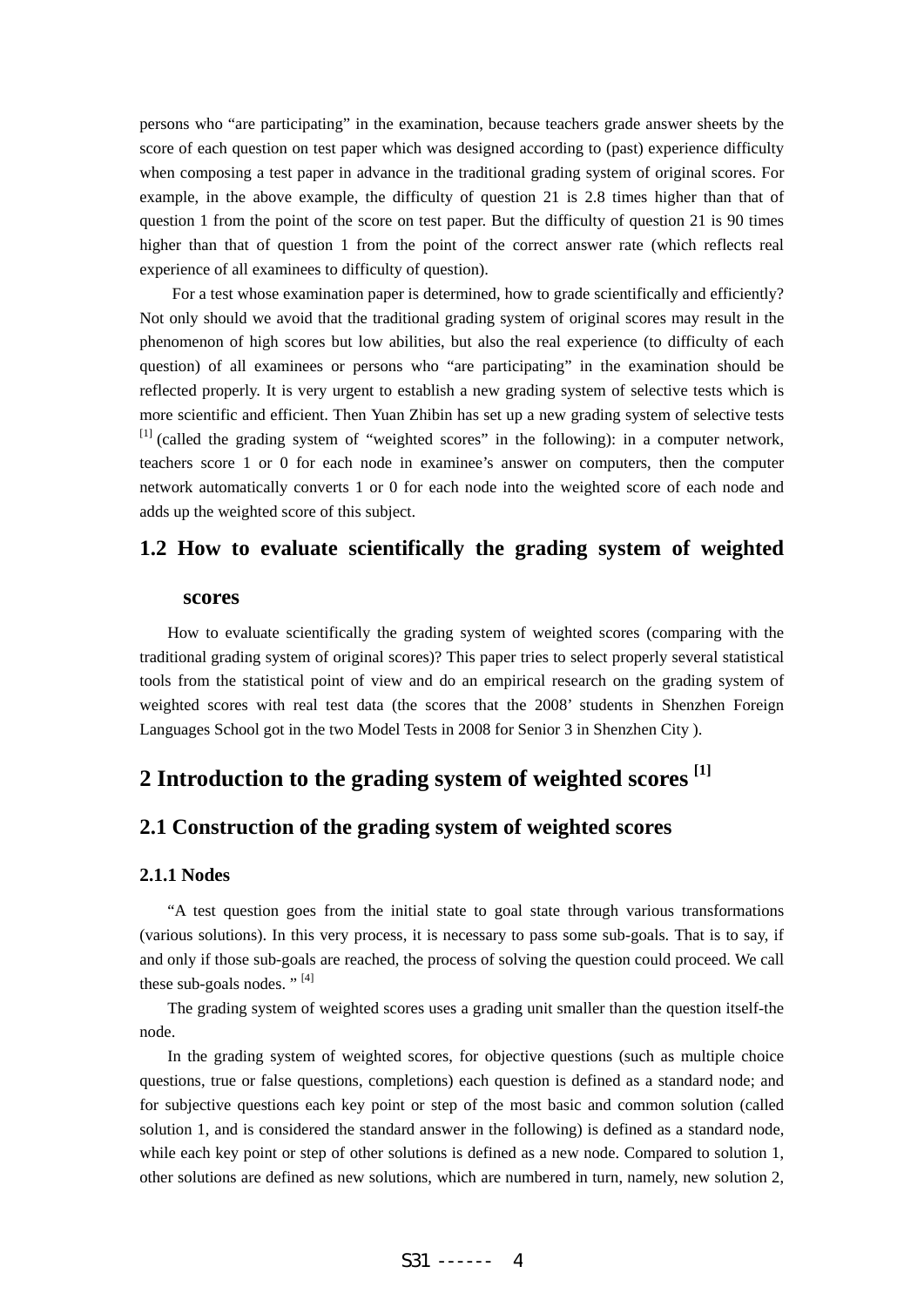persons who "are participating" in the examination, because teachers grade answer sheets by the score of each question on test paper which was designed according to (past) experience difficulty when composing a test paper in advance in the traditional grading system of original scores. For example, in the above example, the difficulty of question 21 is 2.8 times higher than that of question 1 from the point of the score on test paper. But the difficulty of question 21 is 90 times higher than that of question 1 from the point of the correct answer rate (which reflects real experience of all examinees to difficulty of question).

For a test whose examination paper is determined, how to grade scientifically and efficiently? Not only should we avoid that the traditional grading system of original scores may result in the phenomenon of high scores but low abilities, but also the real experience (to difficulty of each question) of all examinees or persons who "are participating" in the examination should be reflected properly. It is very urgent to establish a new grading system of selective tests which is more scientific and efficient. Then Yuan Zhibin has set up a new grading system of selective tests  $<sup>[1]</sup>$  (called the grading system of "weighted scores" in the following): in a computer network,</sup> teachers score 1 or 0 for each node in examinee's answer on computers, then the computer network automatically converts 1 or 0 for each node into the weighted score of each node and adds up the weighted score of this subject.

## **1.2 How to evaluate scientifically the grading system of weighted**

#### **scores**

How to evaluate scientifically the grading system of weighted scores (comparing with the traditional grading system of original scores)? This paper tries to select properly several statistical tools from the statistical point of view and do an empirical research on the grading system of weighted scores with real test data (the scores that the 2008' students in Shenzhen Foreign Languages School got in the two Model Tests in 2008 for Senior 3 in Shenzhen City ).

# **2 Introduction to the grading system of weighted scores [1]**

# **2.1 Construction of the grading system of weighted scores**

#### **2.1.1 Nodes**

"A test question goes from the initial state to goal state through various transformations (various solutions). In this very process, it is necessary to pass some sub-goals. That is to say, if and only if those sub-goals are reached, the process of solving the question could proceed. We call these sub-goals nodes." $[4]$ 

The grading system of weighted scores uses a grading unit smaller than the question itself-the node.

In the grading system of weighted scores, for objective questions (such as multiple choice questions, true or false questions, completions) each question is defined as a standard node; and for subjective questions each key point or step of the most basic and common solution (called solution 1, and is considered the standard answer in the following) is defined as a standard node, while each key point or step of other solutions is defined as a new node. Compared to solution 1, other solutions are defined as new solutions, which are numbered in turn, namely, new solution 2,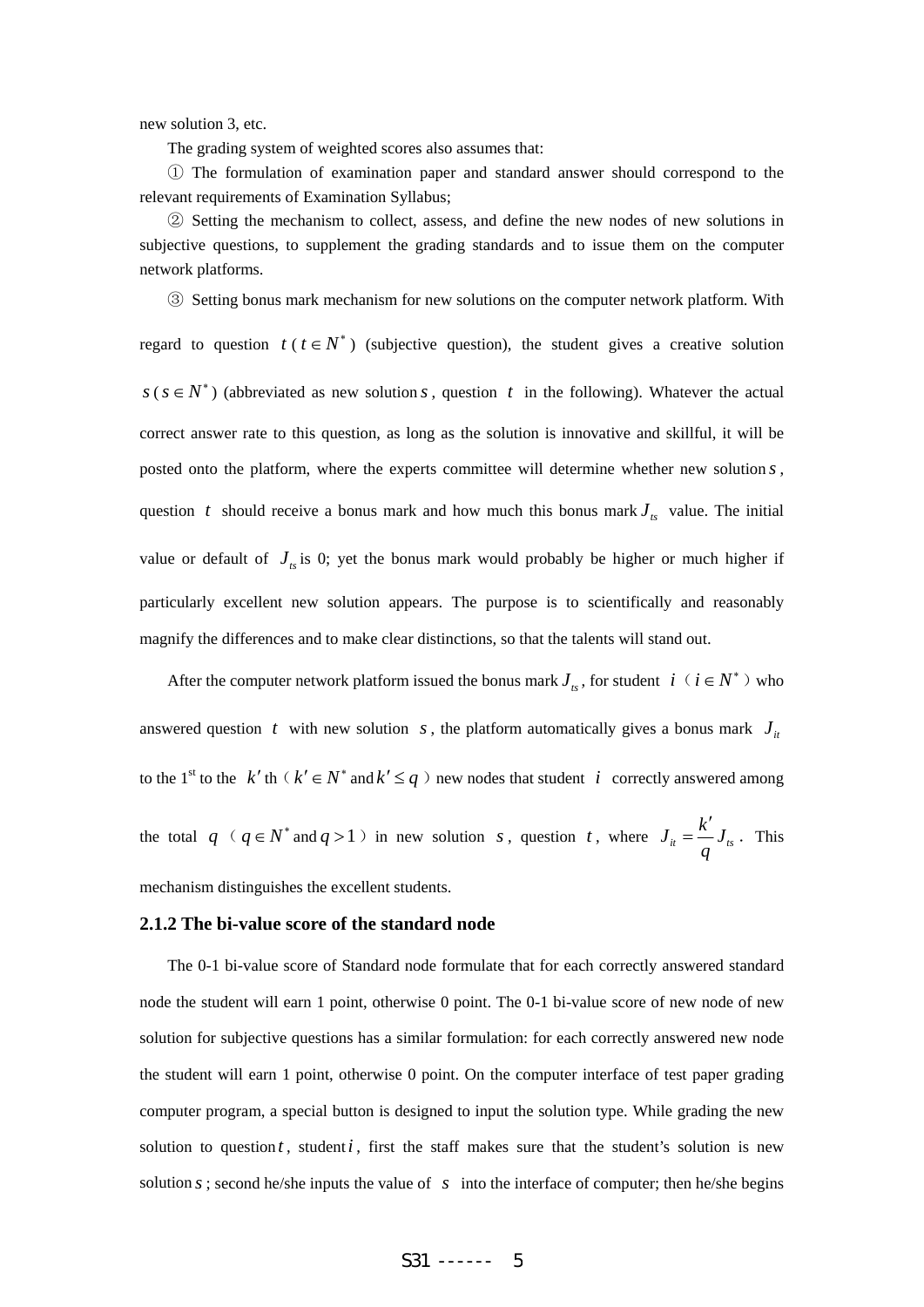new solution 3, etc.

The grading system of weighted scores also assumes that:

① The formulation of examination paper and standard answer should correspond to the relevant requirements of Examination Syllabus;

② Setting the mechanism to collect, assess, and define the new nodes of new solutions in subjective questions, to supplement the grading standards and to issue them on the computer network platforms.

③ Setting bonus mark mechanism for new solutions on the computer network platform. With regard to question  $t$  ( $t \in N^*$ ) (subjective question), the student gives a creative solution  $s$  ( $s \in N^*$ ) (abbreviated as new solution *s*, question *t* in the following). Whatever the actual correct answer rate to this question, as long as the solution is innovative and skillful, it will be posted onto the platform, where the experts committee will determine whether new solution *s* , question *t* should receive a bonus mark and how much this bonus mark  $J_{\kappa}$  value. The initial value or default of  $J_{ts}$  is 0; yet the bonus mark would probably be higher or much higher if particularly excellent new solution appears. The purpose is to scientifically and reasonably magnify the differences and to make clear distinctions, so that the talents will stand out.

After the computer network platform issued the bonus mark  $J_{i}$ , for student *i*( $i \in N^*$ ) who answered question *t* with new solution *s*, the platform automatically gives a bonus mark  $J_i$ to the 1<sup>st</sup> to the *k'* th(*k'*  $\in$  *N*<sup>\*</sup> and *k'*  $\leq$  *q*) new nodes that student *i* correctly answered among the total  $q \cdot (q \in N^* \text{ and } q > 1)$  in new solution *s*, question *t*, where  $J_{it} = \frac{k'}{l} J_{ts}$ *q*  $=\frac{k'}{J_{\kappa}}$ . This mechanism distinguishes the excellent students.

#### **2.1.2 The bi-value score of the standard node**

The 0-1 bi-value score of Standard node formulate that for each correctly answered standard node the student will earn 1 point, otherwise 0 point. The 0-1 bi-value score of new node of new solution for subjective questions has a similar formulation: for each correctly answered new node the student will earn 1 point, otherwise 0 point. On the computer interface of test paper grading computer program, a special button is designed to input the solution type. While grading the new solution to question  $t$ , student  $i$ , first the staff makes sure that the student's solution is new solution  $s$ ; second he/she inputs the value of  $s$  into the interface of computer; then he/she begins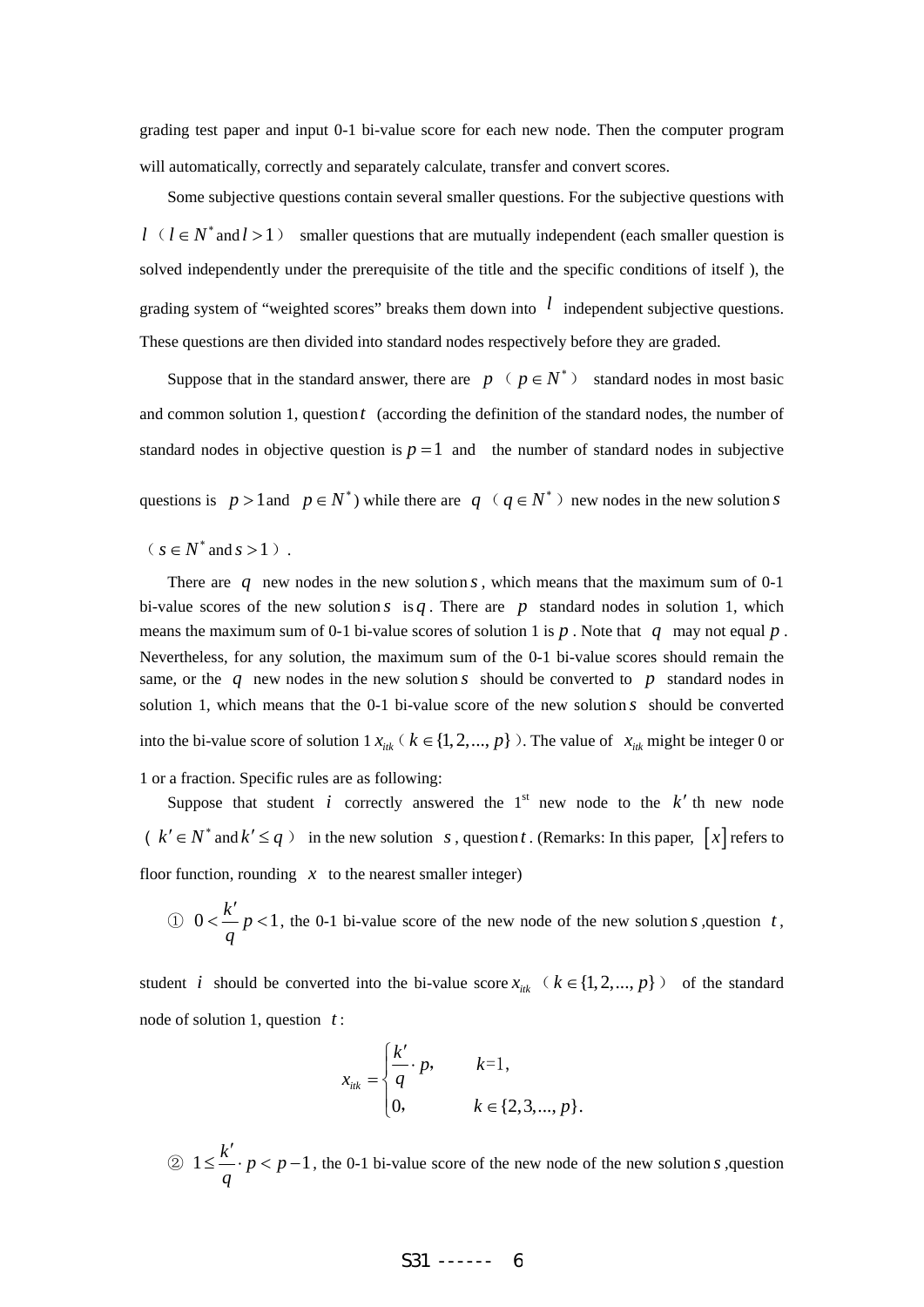grading test paper and input 0-1 bi-value score for each new node. Then the computer program will automatically, correctly and separately calculate, transfer and convert scores.

Some subjective questions contain several smaller questions. For the subjective questions with  $l$  ( $l \in N^*$  and  $l > 1$ ) smaller questions that are mutually independent (each smaller question is solved independently under the prerequisite of the title and the specific conditions of itself ), the grading system of "weighted scores" breaks them down into  $l$  independent subjective questions. These questions are then divided into standard nodes respectively before they are graded.

Suppose that in the standard answer, there are *p* (  $p \in N^*$  ) standard nodes in most basic and common solution 1, question *t* (according the definition of the standard nodes, the number of standard nodes in objective question is  $p = 1$  and the number of standard nodes in subjective

questions is  $p > 1$  and  $p \in N^*$ ) while there are  $q \ (q \in N^*)$  new nodes in the new solution *s* 

 $(s \in N^*$  and  $s > 1$ ).

There are  $q$  new nodes in the new solution  $s$ , which means that the maximum sum of 0-1 bi-value scores of the new solution  $s$  is  $q$ . There are  $p$  standard nodes in solution 1, which means the maximum sum of 0-1 bi-value scores of solution 1 is *p* . Note that *q* may not equal *p* . Nevertheless, for any solution, the maximum sum of the 0-1 bi-value scores should remain the same, or the  $q$  new nodes in the new solution  $s$  should be converted to  $p$  standard nodes in solution 1, which means that the 0-1 bi-value score of the new solution *s* should be converted into the bi-value score of solution  $1 x_{ik}$  ( $k \in \{1, 2, ..., p\}$ ). The value of  $x_{ik}$  might be integer 0 or 1 or a fraction. Specific rules are as following:

Suppose that student *i* correctly answered the  $1<sup>st</sup>$  new node to the  $k'$  th new node  $(k' \in N^*$  and  $k' \leq q$  ) in the new solution *s*, question *t*. (Remarks: In this paper,  $[x]$  refers to floor function, rounding  $x$  to the nearest smaller integer)

① 
$$
0 < \frac{k'}{q} p < 1
$$
, the 0-1 bi-value score of the new node of the new solution *s*, question *t*,

student *i* should be converted into the bi-value score  $x_{ik}$  ( $k \in \{1, 2, ..., p\}$ ) of the standard node of solution 1, question *t* :

$$
x_{ik} = \begin{cases} \frac{k'}{q} \cdot p, & k=1, \\ 0, & k \in \{2,3,...,p\}. \end{cases}
$$

 $\textcircled{2} 1 \leq \frac{k'}{p} \cdot p < p-1$ *q*  $\leq$   $\frac{k'}{k}$  ·  $p$  <  $p$  − 1, the 0-1 bi-value score of the new node of the new solution *s*, question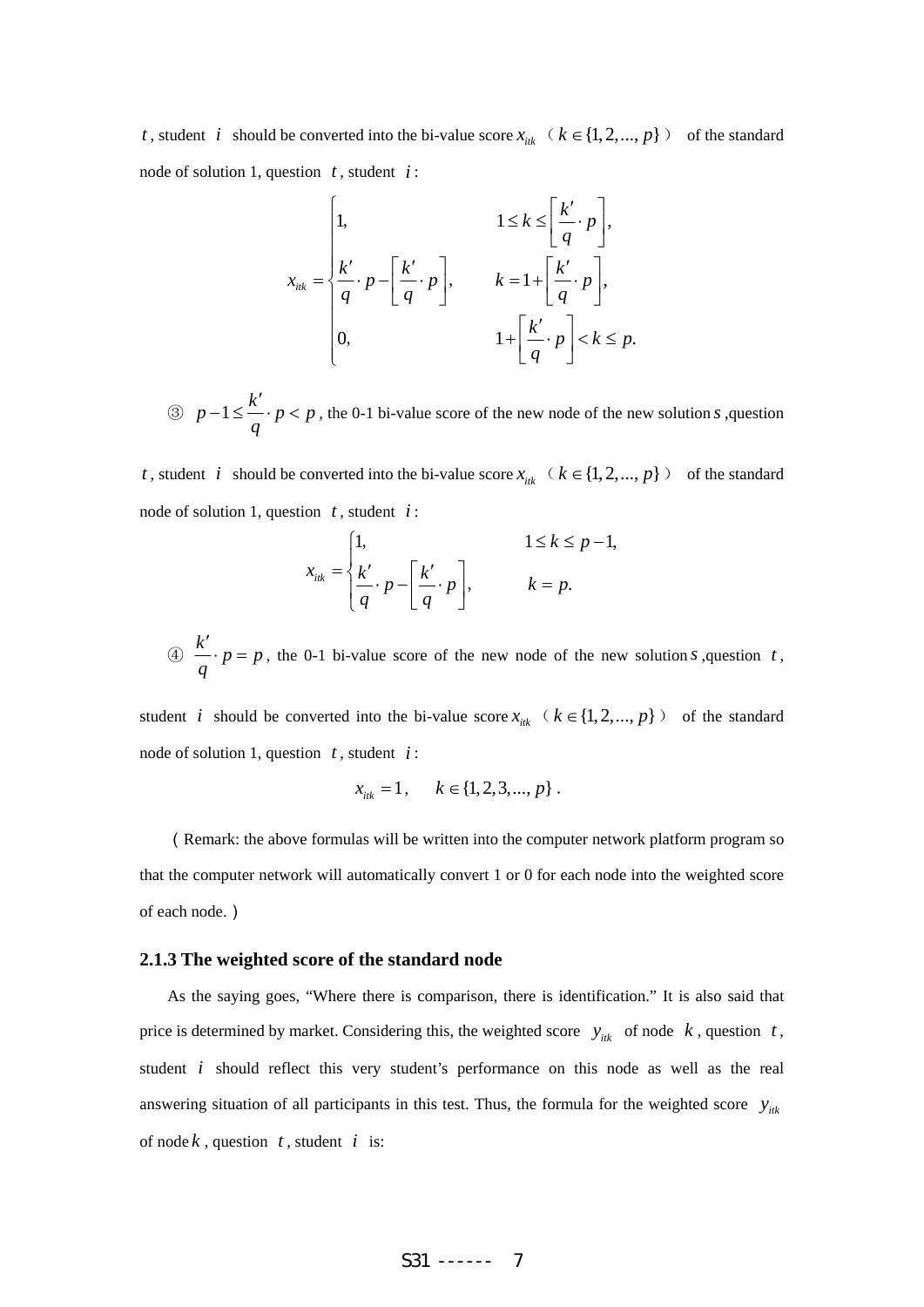*t*, student *i* should be converted into the bi-value score  $x_{ik}$  ( $k \in \{1, 2, ..., p\}$ ) of the standard node of solution 1, question *t* , student *i* :

$$
x_{ik} = \begin{cases} 1, & 1 \le k \le \left[ \frac{k'}{q} \cdot p \right], \\ \frac{k'}{q} \cdot p - \left[ \frac{k'}{q} \cdot p \right], & k = 1 + \left[ \frac{k'}{q} \cdot p \right], \\ 0, & 1 + \left[ \frac{k'}{q} \cdot p \right] < k \le p. \end{cases}
$$

③  $p-1 \leq \frac{k'}{p}$  *p* < *p q*  $-1 \leq \frac{k'}{k} \cdot p < p$ , the 0-1 bi-value score of the new node of the new solution *s*, question

*t*, student *i* should be converted into the bi-value score  $x_{ik}$  ( $k \in \{1, 2, ..., p\}$ ) of the standard node of solution 1, question *t* , student *i* :

$$
x_{ik} = \begin{cases} 1, & 1 \le k \le p-1, \\ \frac{k'}{q} \cdot p - \frac{k'}{q} \cdot p \end{cases}, \qquad k = p.
$$

 $\circled{a}$   $\stackrel{k'}{\cdots} p = p$ *q* ′  $\cdot p = p$ , the 0-1 bi-value score of the new node of the new solution *s*, question *t*,

student *i* should be converted into the bi-value score  $x_{ik}$  ( $k \in \{1, 2, ..., p\}$ ) of the standard node of solution 1, question *t* , student *i* :

$$
x_{ik} = 1, \quad k \in \{1, 2, 3, ..., p\}.
$$

(Remark: the above formulas will be written into the computer network platform program so that the computer network will automatically convert 1 or 0 for each node into the weighted score of each node.)

#### **2.1.3 The weighted score of the standard node**

As the saying goes, "Where there is comparison, there is identification." It is also said that price is determined by market. Considering this, the weighted score  $y_{ik}$  of node  $k$ , question  $t$ , student *i* should reflect this very student's performance on this node as well as the real answering situation of all participants in this test. Thus, the formula for the weighted score  $y_{ik}$ of node  $k$ , question  $t$ , student  $i$  is: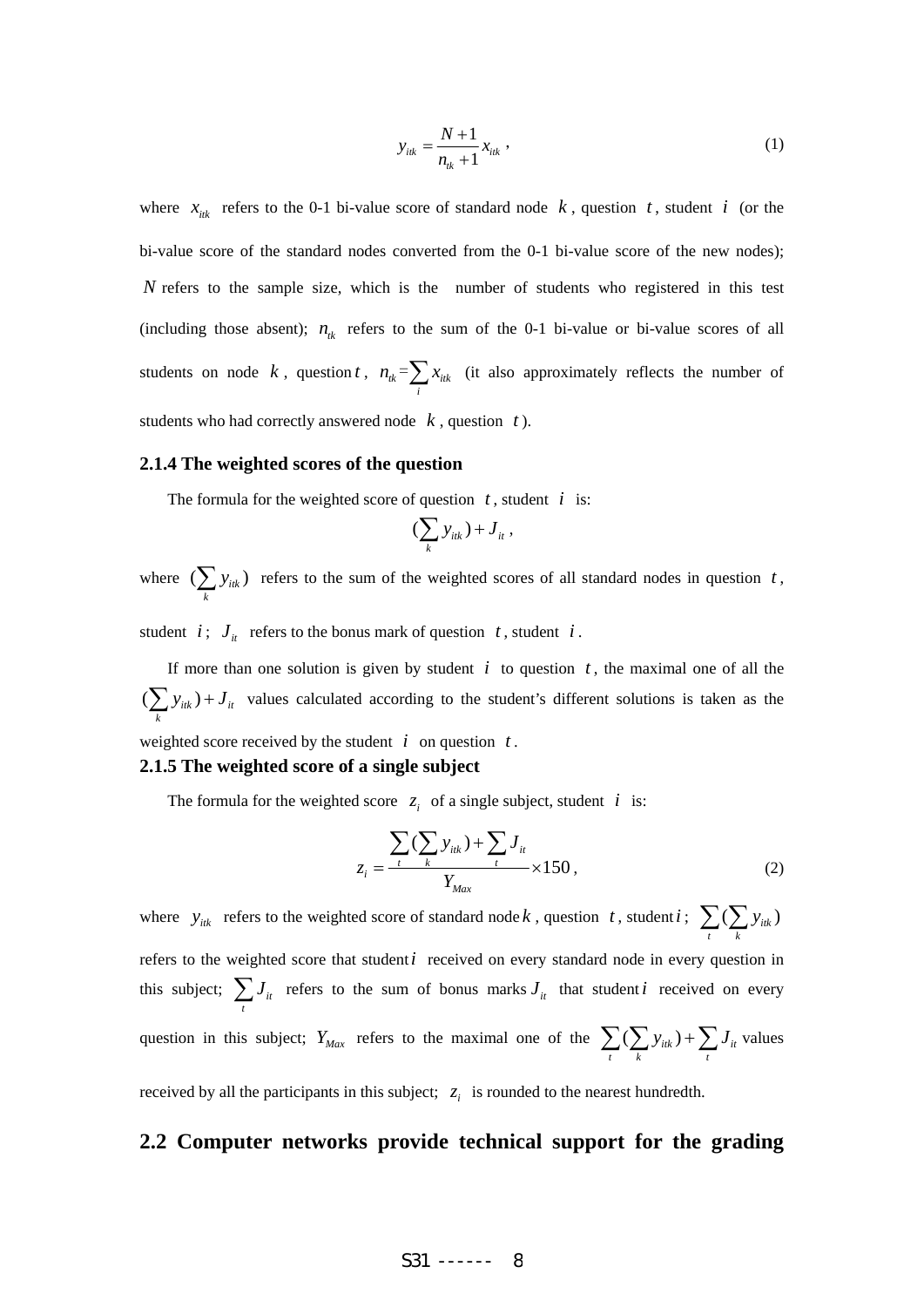$$
y_{iik} = \frac{N+1}{n_{ik}+1} x_{iik} \t{,} \t(1)
$$

where  $x_{ik}$  refers to the 0-1 bi-value score of standard node  $k$ , question  $t$ , student  $i$  (or the bi-value score of the standard nodes converted from the 0-1 bi-value score of the new nodes); *N* refers to the sample size, which is the number of students who registered in this test (including those absent);  $n_k$  refers to the sum of the 0-1 bi-value or bi-value scores of all students on node  $k$ , question  $t$ ,  $n_{ik} = \sum x_{ik}$  $n_{ik} = \sum_{i} x_{iik}$  (it also approximately reflects the number of students who had correctly answered node *k* , question *t* ).

#### **2.1.4 The weighted scores of the question**

The formula for the weighted score of question  $t$ , student  $i$  is:

$$
(\sum_k y_{itk}) + J_{it},
$$

where  $\left(\sum y_{itk}\right)$  $\sum_{k} y_{ik}$ ) refers to the sum of the weighted scores of all standard nodes in question *t*,

student *i*;  $J_{it}$  refers to the bonus mark of question *t*, student *i*.

If more than one solution is given by student  $i$  to question  $t$ , the maximal one of all the  $(\sum y_{itk}) + J_{it}$  $\sum_{k} y_{ik}$ ) +  $J_{it}$  values calculated according to the student's different solutions is taken as the weighted score received by the student  $i$  on question  $t$ .

# **2.1.5 The weighted score of a single subject**

The formula for the weighted score  $z_i$  of a single subject, student *i* is:

$$
z_{i} = \frac{\sum_{t} (\sum_{k} y_{iik}) + \sum_{t} J_{it}}{Y_{Max}} \times 150,
$$
 (2)

where  $y_{ik}$  refers to the weighted score of standard node k, question t, student i;  $\sum_{i} (\sum_{i} y_{ik})$  $\sum_{t}$   $\left(\sum_{k} y\right)$ refers to the weighted score that student*i* received on every standard node in every question in this subject;  $\sum J_{it}$  $\sum_{t}$  *J*<sub>*it*</sub> refers to the sum of bonus marks *J*<sub>*it*</sub> that student *i* received on every question in this subject;  $Y_{Max}$  refers to the maximal one of the  $\sum_{i} (\sum_{i} y_{ik}) + \sum_{i} J_{ii}$  $\sum_{t}$  ( $\sum_{k}$   $y_{itk}$ ) +  $\sum_{t}$   $J_{it}$  values

received by all the participants in this subject;  $z_i$  is rounded to the nearest hundredth.

#### **2.2 Computer networks provide technical support for the grading**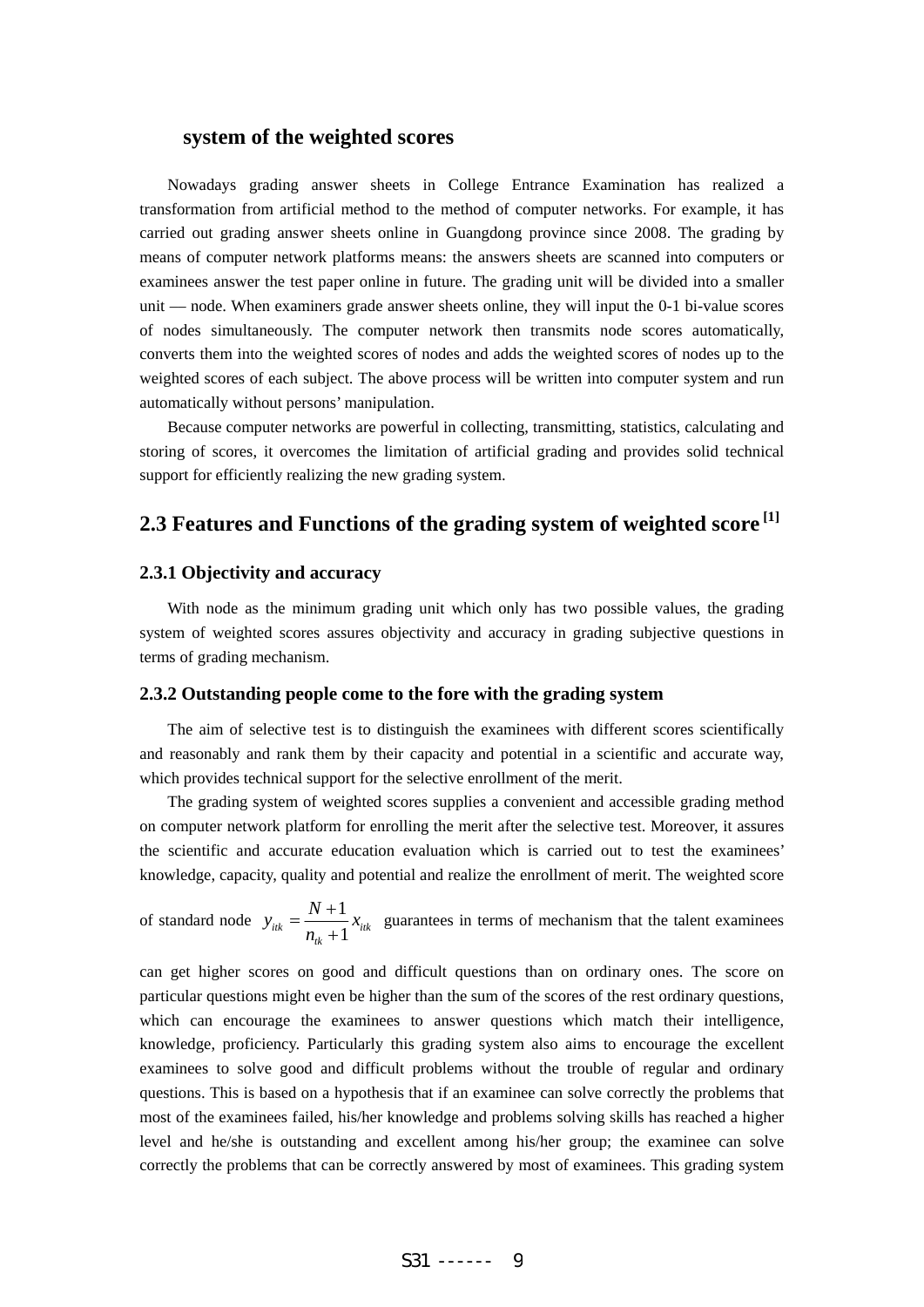#### **system of the weighted scores**

Nowadays grading answer sheets in College Entrance Examination has realized a transformation from artificial method to the method of computer networks. For example, it has carried out grading answer sheets online in Guangdong province since 2008. The grading by means of computer network platforms means: the answers sheets are scanned into computers or examinees answer the test paper online in future. The grading unit will be divided into a smaller unit –– node. When examiners grade answer sheets online, they will input the 0-1 bi-value scores of nodes simultaneously. The computer network then transmits node scores automatically, converts them into the weighted scores of nodes and adds the weighted scores of nodes up to the weighted scores of each subject. The above process will be written into computer system and run automatically without persons' manipulation.

Because computer networks are powerful in collecting, transmitting, statistics, calculating and storing of scores, it overcomes the limitation of artificial grading and provides solid technical support for efficiently realizing the new grading system.

# **2.3 Features and Functions of the grading system of weighted score [1]**

#### **2.3.1 Objectivity and accuracy**

With node as the minimum grading unit which only has two possible values, the grading system of weighted scores assures objectivity and accuracy in grading subjective questions in terms of grading mechanism.

#### **2.3.2 Outstanding people come to the fore with the grading system**

The aim of selective test is to distinguish the examinees with different scores scientifically and reasonably and rank them by their capacity and potential in a scientific and accurate way, which provides technical support for the selective enrollment of the merit.

The grading system of weighted scores supplies a convenient and accessible grading method on computer network platform for enrolling the merit after the selective test. Moreover, it assures the scientific and accurate education evaluation which is carried out to test the examinees' knowledge, capacity, quality and potential and realize the enrollment of merit. The weighted score

of standard node 
$$
y_{ik} = \frac{N+1}{n_{ik}+1} x_{ik}
$$
 guarantees in terms of mechanism that the talent examines

can get higher scores on good and difficult questions than on ordinary ones. The score on particular questions might even be higher than the sum of the scores of the rest ordinary questions, which can encourage the examinees to answer questions which match their intelligence, knowledge, proficiency. Particularly this grading system also aims to encourage the excellent examinees to solve good and difficult problems without the trouble of regular and ordinary questions. This is based on a hypothesis that if an examinee can solve correctly the problems that most of the examinees failed, his/her knowledge and problems solving skills has reached a higher level and he/she is outstanding and excellent among his/her group; the examinee can solve correctly the problems that can be correctly answered by most of examinees. This grading system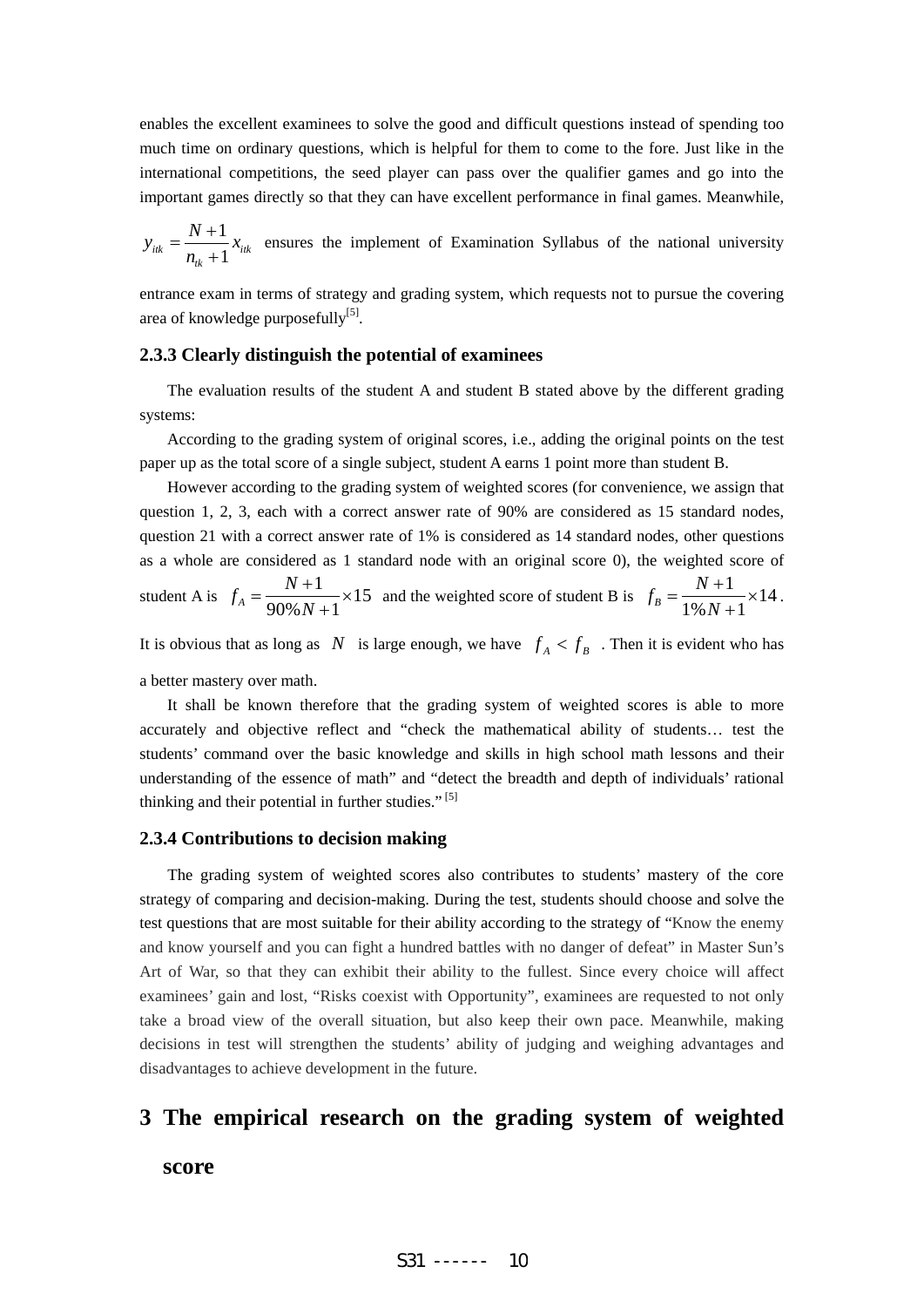enables the excellent examinees to solve the good and difficult questions instead of spending too much time on ordinary questions, which is helpful for them to come to the fore. Just like in the international competitions, the seed player can pass over the qualifier games and go into the important games directly so that they can have excellent performance in final games. Meanwhile,

$$
y_{ik} = \frac{N+1}{n_{ik}+1} x_{ik}
$$
 ensures the implement of Examination Syllabus of the national university

entrance exam in terms of strategy and grading system, which requests not to pursue the covering area of knowledge purposefully<sup>[5]</sup>.

#### **2.3.3 Clearly distinguish the potential of examinees**

The evaluation results of the student A and student B stated above by the different grading systems:

According to the grading system of original scores, i.e., adding the original points on the test paper up as the total score of a single subject, student A earns 1 point more than student B.

However according to the grading system of weighted scores (for convenience, we assign that question 1, 2, 3, each with a correct answer rate of 90% are considered as 15 standard nodes, question 21 with a correct answer rate of 1% is considered as 14 standard nodes, other questions as a whole are considered as 1 standard node with an original score 0), the weighted score of student A is  $f_A = \frac{N+1}{2.000 \text{ N} \cdot \text{m}^2} \times 15$  $f_A = \frac{N+1}{90\% N+1} \times$ + and the weighted score of student B is  $f_R = \frac{N+1}{N} \times 14$  $f_B = \frac{N+1}{1\%N+1} \times 14$ .

It is obvious that as long as *N* is large enough, we have  $f_A < f_B$ . Then it is evident who has

a better mastery over math.

It shall be known therefore that the grading system of weighted scores is able to more accurately and objective reflect and "check the mathematical ability of students… test the students' command over the basic knowledge and skills in high school math lessons and their understanding of the essence of math" and "detect the breadth and depth of individuals' rational thinking and their potential in further studies."<sup>[5]</sup>

#### **2.3.4 Contributions to decision making**

The grading system of weighted scores also contributes to students' mastery of the core strategy of comparing and decision-making. During the test, students should choose and solve the test questions that are most suitable for their ability according to the strategy of "Know the enemy and know yourself and you can fight a hundred battles with no danger of defeat" in Master Sun's Art of War, so that they can exhibit their ability to the fullest. Since every choice will affect examinees' gain and lost, "Risks coexist with Opportunity", examinees are requested to not only take a broad view of the overall situation, but also keep their own pace. Meanwhile, making decisions in test will strengthen the students' ability of judging and weighing advantages and disadvantages to achieve development in the future.

# **3 The empirical research on the grading system of weighted**

# **score**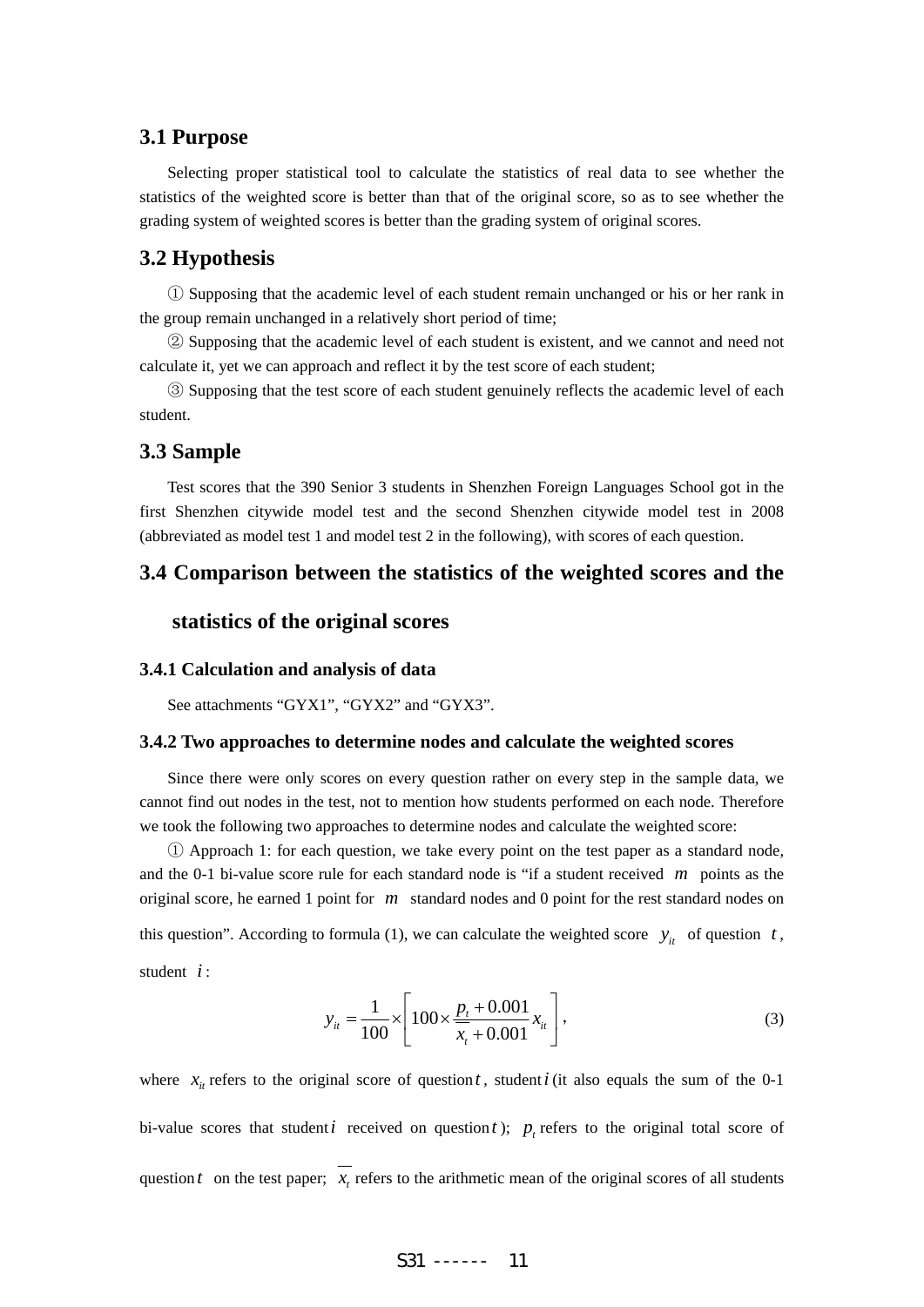# **3.1 Purpose**

Selecting proper statistical tool to calculate the statistics of real data to see whether the statistics of the weighted score is better than that of the original score, so as to see whether the grading system of weighted scores is better than the grading system of original scores.

# **3.2 Hypothesis**

① Supposing that the academic level of each student remain unchanged or his or her rank in the group remain unchanged in a relatively short period of time;

② Supposing that the academic level of each student is existent, and we cannot and need not calculate it, yet we can approach and reflect it by the test score of each student;

③ Supposing that the test score of each student genuinely reflects the academic level of each student.

#### **3.3 Sample**

Test scores that the 390 Senior 3 students in Shenzhen Foreign Languages School got in the first Shenzhen citywide model test and the second Shenzhen citywide model test in 2008 (abbreviated as model test 1 and model test 2 in the following), with scores of each question.

# **3.4 Comparison between the statistics of the weighted scores and the**

#### **statistics of the original scores**

#### **3.4.1 Calculation and analysis of data**

See attachments "GYX1", "GYX2" and "GYX3".

#### **3.4.2 Two approaches to determine nodes and calculate the weighted scores**

Since there were only scores on every question rather on every step in the sample data, we cannot find out nodes in the test, not to mention how students performed on each node. Therefore we took the following two approaches to determine nodes and calculate the weighted score:

① Approach 1: for each question, we take every point on the test paper as a standard node, and the 0-1 bi-value score rule for each standard node is "if a student received *m* points as the original score, he earned 1 point for *m* standard nodes and 0 point for the rest standard nodes on this question". According to formula (1), we can calculate the weighted score  $y_i$  of question *t*, student *i* :

$$
y_{it} = \frac{1}{100} \times \left[ 100 \times \frac{p_t + 0.001}{\overline{x}_t + 0.001} x_{it} \right],
$$
 (3)

where  $x_i$  refers to the original score of question *t*, student *i* (it also equals the sum of the 0-1 bi-value scores that student *i* received on question *t* );  $p_t$  refers to the original total score of question  $t$  on the test paper;  $x_t$  refers to the arithmetic mean of the original scores of all students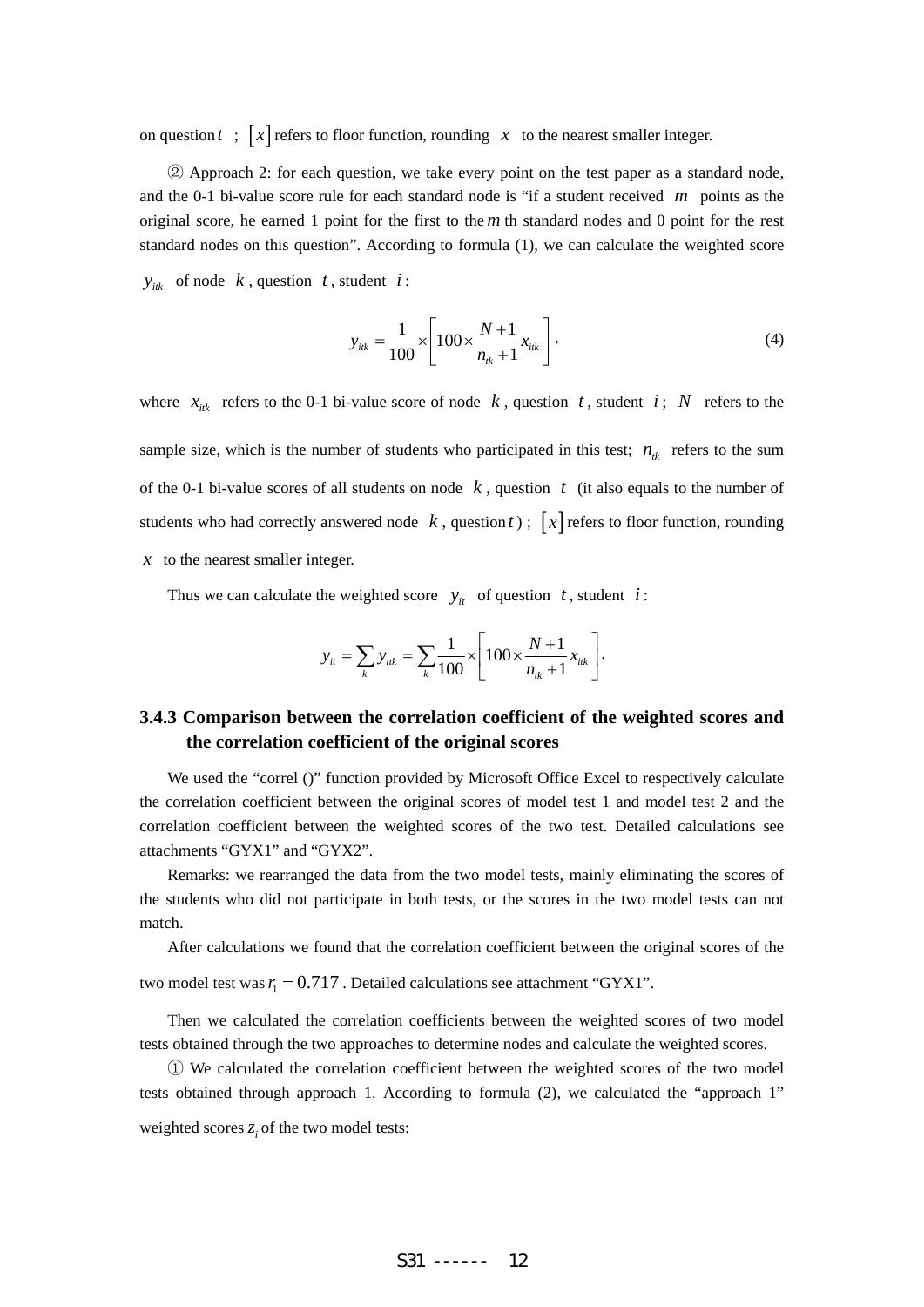on question  $t$  ;  $\lceil x \rceil$  refers to floor function, rounding  $x$  to the nearest smaller integer.

② Approach 2: for each question, we take every point on the test paper as a standard node, and the 0-1 bi-value score rule for each standard node is "if a student received *m* points as the original score, he earned 1 point for the first to the *m* th standard nodes and 0 point for the rest standard nodes on this question". According to formula (1), we can calculate the weighted score

 $y_{ijk}$  of node *k*, question *t*, student *i* :

$$
y_{ik} = \frac{1}{100} \times \left[ 100 \times \frac{N+1}{n_{ik}+1} x_{ik} \right],
$$
 (4)

where  $x_{ik}$  refers to the 0-1 bi-value score of node  $k$ , question  $t$ , student  $i$ ;  $N$  refers to the sample size, which is the number of students who participated in this test;  $n_k$  refers to the sum of the 0-1 bi-value scores of all students on node  $k$ , question  $t$  (it also equals to the number of students who had correctly answered node  $k$ , question  $t$ );  $[x]$  refers to floor function, rounding *x* to the nearest smaller integer.

Thus we can calculate the weighted score  $y_i$  of question *t*, student *i*:

$$
y_{it} = \sum_{k} y_{itk} = \sum_{k} \frac{1}{100} \times \left[ 100 \times \frac{N+1}{n_{ik}+1} x_{itk} \right].
$$

# **3.4.3 Comparison between the correlation coefficient of the weighted scores and the correlation coefficient of the original scores**

We used the "correl ()" function provided by Microsoft Office Excel to respectively calculate the correlation coefficient between the original scores of model test 1 and model test 2 and the correlation coefficient between the weighted scores of the two test. Detailed calculations see attachments "GYX1" and "GYX2".

Remarks: we rearranged the data from the two model tests, mainly eliminating the scores of the students who did not participate in both tests, or the scores in the two model tests can not match.

After calculations we found that the correlation coefficient between the original scores of the two model test was  $r_1 = 0.717$ . Detailed calculations see attachment "GYX1".

Then we calculated the correlation coefficients between the weighted scores of two model tests obtained through the two approaches to determine nodes and calculate the weighted scores.

① We calculated the correlation coefficient between the weighted scores of the two model tests obtained through approach 1. According to formula (2), we calculated the "approach 1" weighted scores  $z_i$  of the two model tests: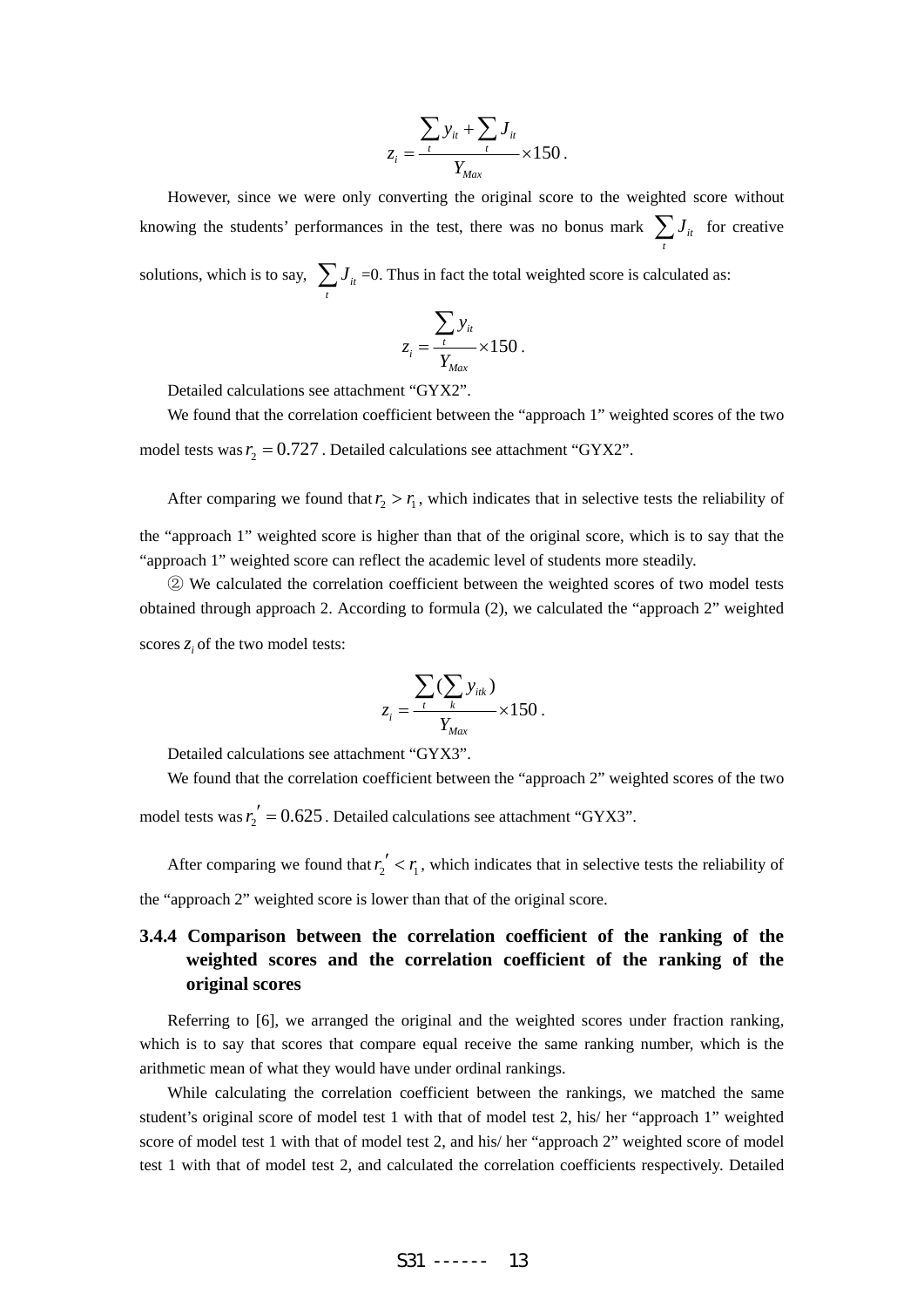$$
z_i = \frac{\sum_{t} y_{it} + \sum_{t} J_{it}}{Y_{Max}} \times 150.
$$

However, since we were only converting the original score to the weighted score without knowing the students' performances in the test, there was no bonus mark  $\sum J_i$  for creative *t*

solutions, which is to say,  $\sum J_{ii}$  $\sum_{t}$  *J*<sub>*it*</sub> =0. Thus in fact the total weighted score is calculated as:

$$
z_i = \frac{\sum_{t} y_{it}}{Y_{Max}} \times 150
$$

.

Detailed calculations see attachment "GYX2".

We found that the correlation coefficient between the "approach 1" weighted scores of the two model tests was  $r_2 = 0.727$ . Detailed calculations see attachment "GYX2".

After comparing we found that  $r_2 > r_1$ , which indicates that in selective tests the reliability of the "approach 1" weighted score is higher than that of the original score, which is to say that the "approach 1" weighted score can reflect the academic level of students more steadily.

② We calculated the correlation coefficient between the weighted scores of two model tests obtained through approach 2. According to formula (2), we calculated the "approach 2" weighted scores *z*<sub>*i*</sub> of the two model tests:

$$
z_i = \frac{\sum_{t} (\sum_{k} y_{ik})}{Y_{Max}} \times 150.
$$

Detailed calculations see attachment "GYX3".

We found that the correlation coefficient between the "approach 2" weighted scores of the two

model tests was  $r'_2 = 0.625$ . Detailed calculations see attachment "GYX3".

After comparing we found that  $r'_2 < r_1$ , which indicates that in selective tests the reliability of the "approach 2" weighted score is lower than that of the original score.

# **3.4.4 Comparison between the correlation coefficient of the ranking of the weighted scores and the correlation coefficient of the ranking of the original scores**

Referring to [6], we arranged the original and the weighted scores under fraction ranking, which is to say that scores that compare equal receive the same ranking number, which is the arithmetic mean of what they would have under ordinal rankings.

While calculating the correlation coefficient between the rankings, we matched the same student's original score of model test 1 with that of model test 2, his/ her "approach 1" weighted score of model test 1 with that of model test 2, and his/ her "approach 2" weighted score of model test 1 with that of model test 2, and calculated the correlation coefficients respectively. Detailed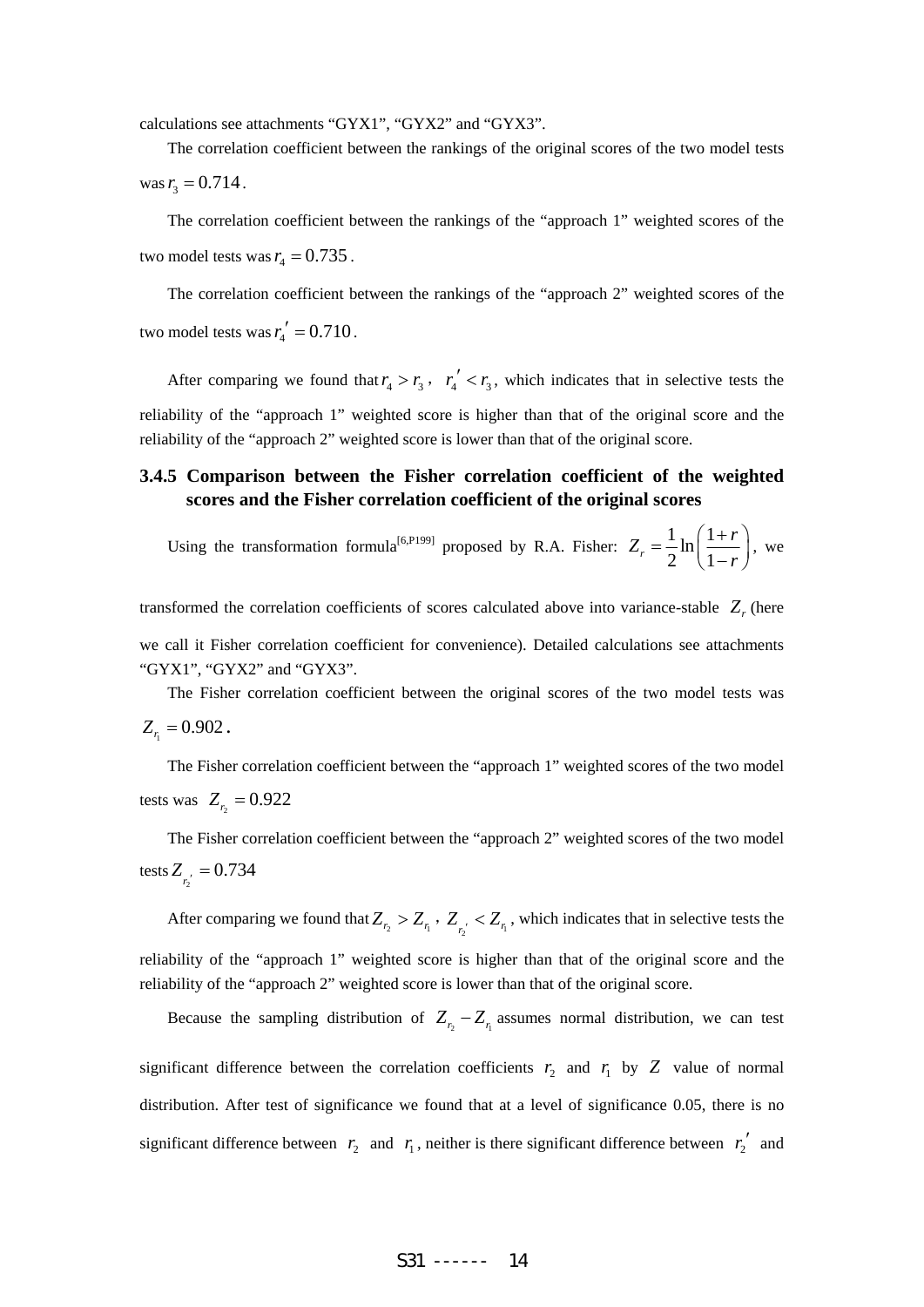calculations see attachments "GYX1", "GYX2" and "GYX3".

The correlation coefficient between the rankings of the original scores of the two model tests was  $r_3 = 0.714$ .

The correlation coefficient between the rankings of the "approach 1" weighted scores of the two model tests was  $r_4 = 0.735$ .

The correlation coefficient between the rankings of the "approach 2" weighted scores of the two model tests was  $r_1' = 0.710$ .

After comparing we found that  $r_4 > r_3$ ,  $r_4' < r_3$ , which indicates that in selective tests the reliability of the "approach 1" weighted score is higher than that of the original score and the reliability of the "approach 2" weighted score is lower than that of the original score.

# **3.4.5 Comparison between the Fisher correlation coefficient of the weighted scores and the Fisher correlation coefficient of the original scores**

Using the transformation formula<sup>[6,P199]</sup> proposed by R.A. Fisher:  $Z_r = \frac{1}{2} \ln \left( \frac{1}{2} \right)$  $r = 2^{\mathbf{m}} \left( 1 \right)$  $Z_r = \frac{1}{2} \ln \left( \frac{1+r}{1} \right)$  $=\frac{1}{2}\ln\left(\frac{1+r}{1-r}\right)$ , we

transformed the correlation coefficients of scores calculated above into variance-stable  $Z<sub>r</sub>$  (here we call it Fisher correlation coefficient for convenience). Detailed calculations see attachments "GYX1", "GYX2" and "GYX3".

The Fisher correlation coefficient between the original scores of the two model tests was  $Z_{r_i} = 0.902$ .

The Fisher correlation coefficient between the "approach 1" weighted scores of the two model tests was  $Z_{r_2} = 0.922$ 

The Fisher correlation coefficient between the "approach 2" weighted scores of the two model tests  $Z_{r_2^{'}} = 0.734$ 

After comparing we found that  $Z_{r_2} > Z_{r_1}$ ,  $Z_{r_2} < Z_{r_1}$ , which indicates that in selective tests the reliability of the "approach 1" weighted score is higher than that of the original score and the reliability of the "approach 2" weighted score is lower than that of the original score.

Because the sampling distribution of  $Z_{r_2} - Z_{r_1}$  assumes normal distribution, we can test significant difference between the correlation coefficients  $r_2$  and  $r_1$  by Z value of normal distribution. After test of significance we found that at a level of significance 0.05, there is no significant difference between  $r_2$  and  $r_1$ , neither is there significant difference between  $r_2'$  and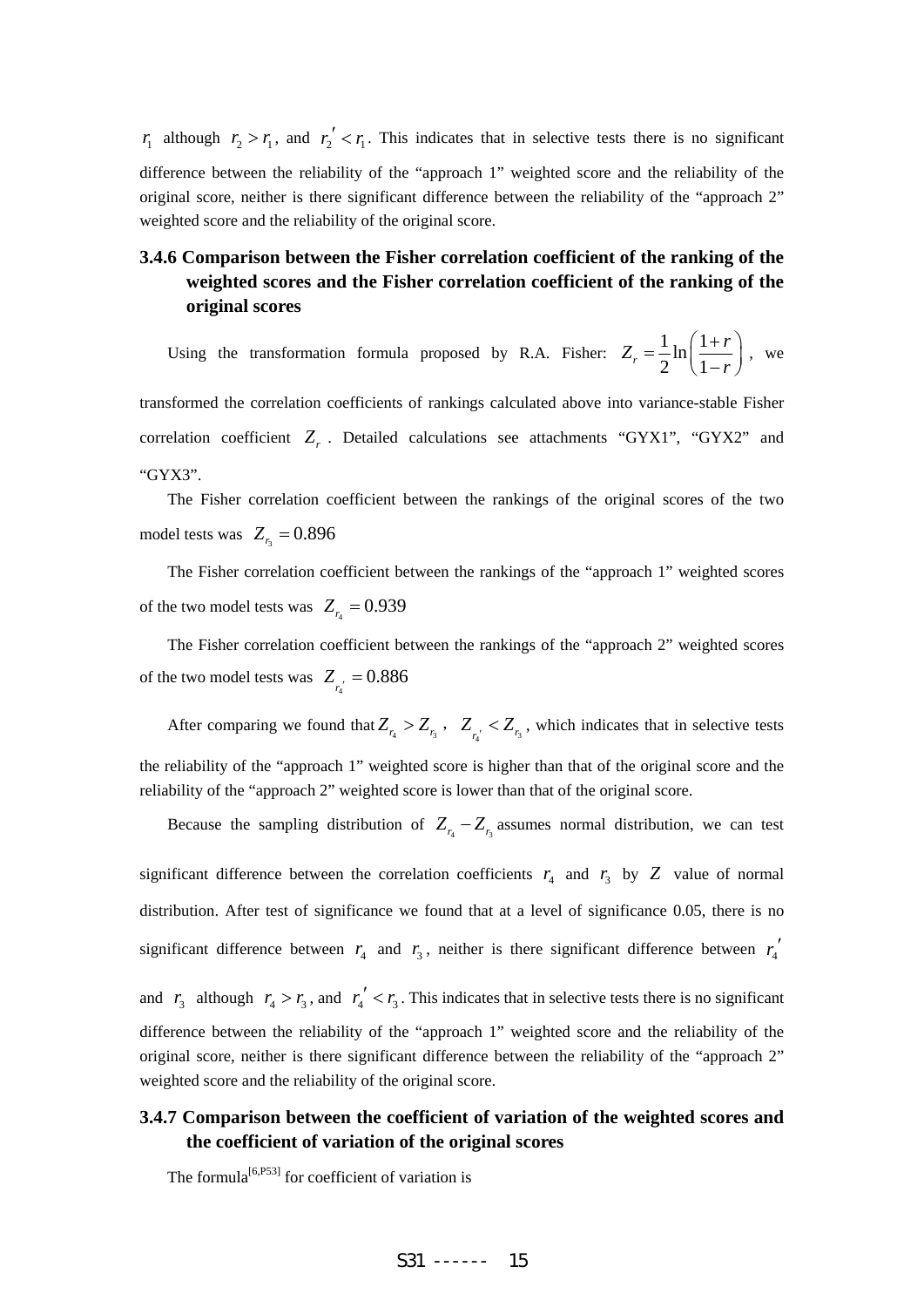$r_1$  although  $r_2 > r_1$ , and  $r_2' < r_1$ . This indicates that in selective tests there is no significant difference between the reliability of the "approach 1" weighted score and the reliability of the original score, neither is there significant difference between the reliability of the "approach 2" weighted score and the reliability of the original score.

# **3.4.6 Comparison between the Fisher correlation coefficient of the ranking of the weighted scores and the Fisher correlation coefficient of the ranking of the original scores**

Using the transformation formula proposed by R.A. Fisher:  $Z_r = \frac{1}{2} \ln \left( \frac{1}{2} \right)$  $r = 2^{\mathbf{m}} \left( 1 \right)$  $Z_r = \frac{1}{2} \ln \left( \frac{1+r}{1} \right)$  $=\frac{1}{2}\ln\left(\frac{1+r}{1-r}\right)$ , we

transformed the correlation coefficients of rankings calculated above into variance-stable Fisher correlation coefficient Z<sub>r</sub>. Detailed calculations see attachments "GYX1", "GYX2" and "GYX3".

The Fisher correlation coefficient between the rankings of the original scores of the two model tests was  $Z<sub>r</sub> = 0.896$ 

The Fisher correlation coefficient between the rankings of the "approach 1" weighted scores of the two model tests was  $Z_r = 0.939$ 

The Fisher correlation coefficient between the rankings of the "approach 2" weighted scores of the two model tests was  $Z_{\frac{r}{4}} = 0.886$ 

After comparing we found that  $Z_{r_4} > Z_{r_5}$ ,  $Z_{r_5} < Z_{r_5}$ , which indicates that in selective tests the reliability of the "approach 1" weighted score is higher than that of the original score and the reliability of the "approach 2" weighted score is lower than that of the original score.

Because the sampling distribution of  $Z_{r_1} - Z_{r_2}$  assumes normal distribution, we can test significant difference between the correlation coefficients  $r_4$  and  $r_3$  by  $Z$  value of normal distribution. After test of significance we found that at a level of significance 0.05, there is no significant difference between  $r_4$  and  $r_3$ , neither is there significant difference between  $r_4'$ and  $r_3$  although  $r_4 > r_3$ , and  $r_4' < r_3$ . This indicates that in selective tests there is no significant difference between the reliability of the "approach 1" weighted score and the reliability of the original score, neither is there significant difference between the reliability of the "approach 2" weighted score and the reliability of the original score.

# **3.4.7 Comparison between the coefficient of variation of the weighted scores and the coefficient of variation of the original scores**

The formula<sup>[6,P53]</sup> for coefficient of variation is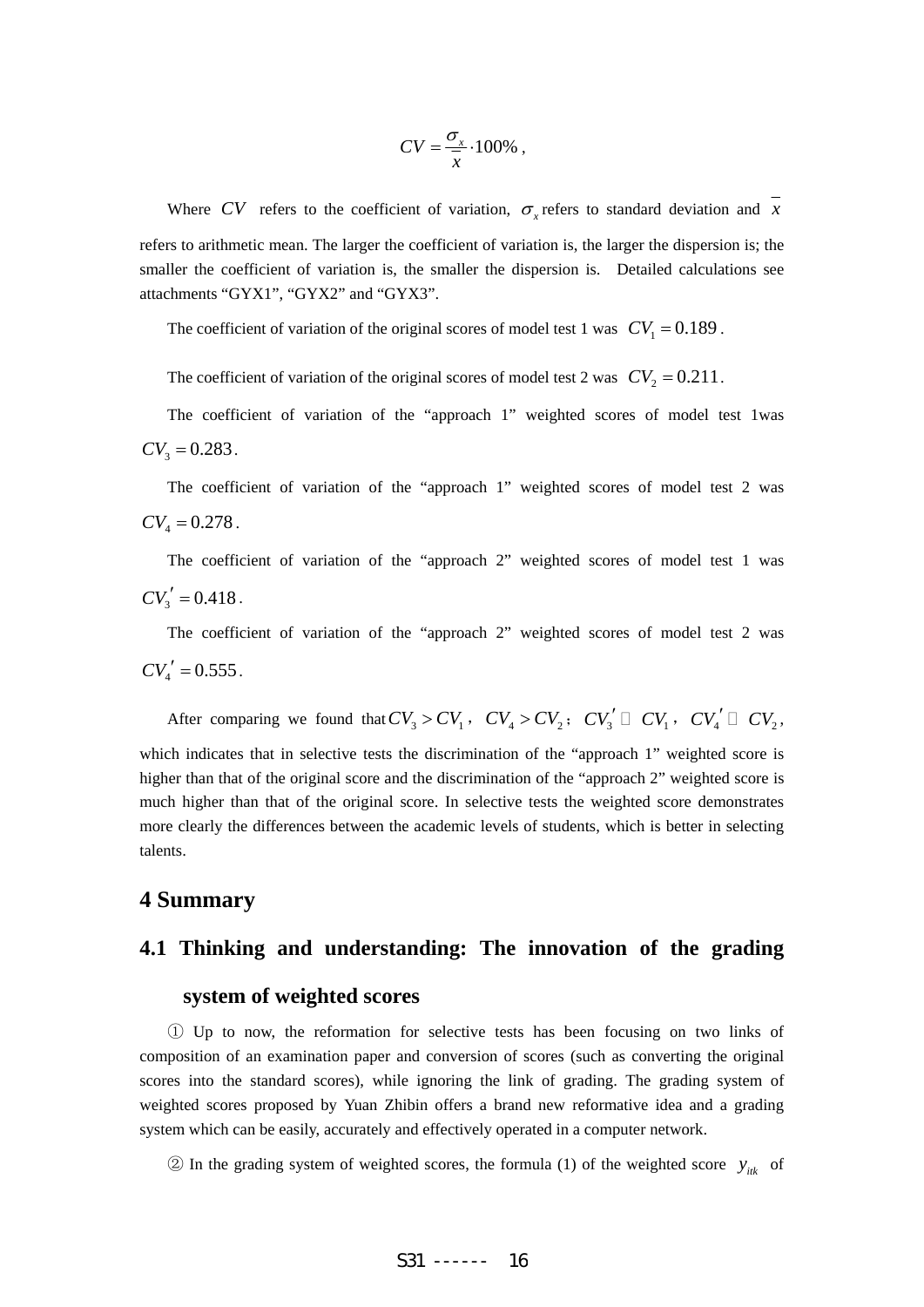$$
CV = \frac{\sigma_x}{x} \cdot 100\%
$$

Where *CV* refers to the coefficient of variation,  $\sigma_x$  refers to standard deviation and *x* refers to arithmetic mean. The larger the coefficient of variation is, the larger the dispersion is; the smaller the coefficient of variation is, the smaller the dispersion is. Detailed calculations see attachments "GYX1", "GYX2" and "GYX3".

The coefficient of variation of the original scores of model test 1 was  $CV_1 = 0.189$ .

The coefficient of variation of the original scores of model test 2 was  $CV_2 = 0.211$ .

The coefficient of variation of the "approach 1" weighted scores of model test 1was  $CV_{3} = 0.283$ .

The coefficient of variation of the "approach 1" weighted scores of model test 2 was  $CV_4 = 0.278$ .

The coefficient of variation of the "approach 2" weighted scores of model test 1 was  $CV'_{3} = 0.418$ .

The coefficient of variation of the "approach 2" weighted scores of model test 2 was  $CV'_{4} = 0.555$ .

After comparing we found that  $CV_3 > CV_1$ ,  $CV_4 > CV_2$ ;  $CV_3' \square CV_1$ ,  $CV_4' \square CV_2$ , which indicates that in selective tests the discrimination of the "approach 1" weighted score is higher than that of the original score and the discrimination of the "approach 2" weighted score is much higher than that of the original score. In selective tests the weighted score demonstrates more clearly the differences between the academic levels of students, which is better in selecting talents.

# **4 Summary**

#### **4.1 Thinking and understanding: The innovation of the grading**

# **system of weighted scores**

① Up to now, the reformation for selective tests has been focusing on two links of composition of an examination paper and conversion of scores (such as converting the original scores into the standard scores), while ignoring the link of grading. The grading system of weighted scores proposed by Yuan Zhibin offers a brand new reformative idea and a grading system which can be easily, accurately and effectively operated in a computer network.

② In the grading system of weighted scores, the formula (1) of the weighted score  $y_{ik}$  of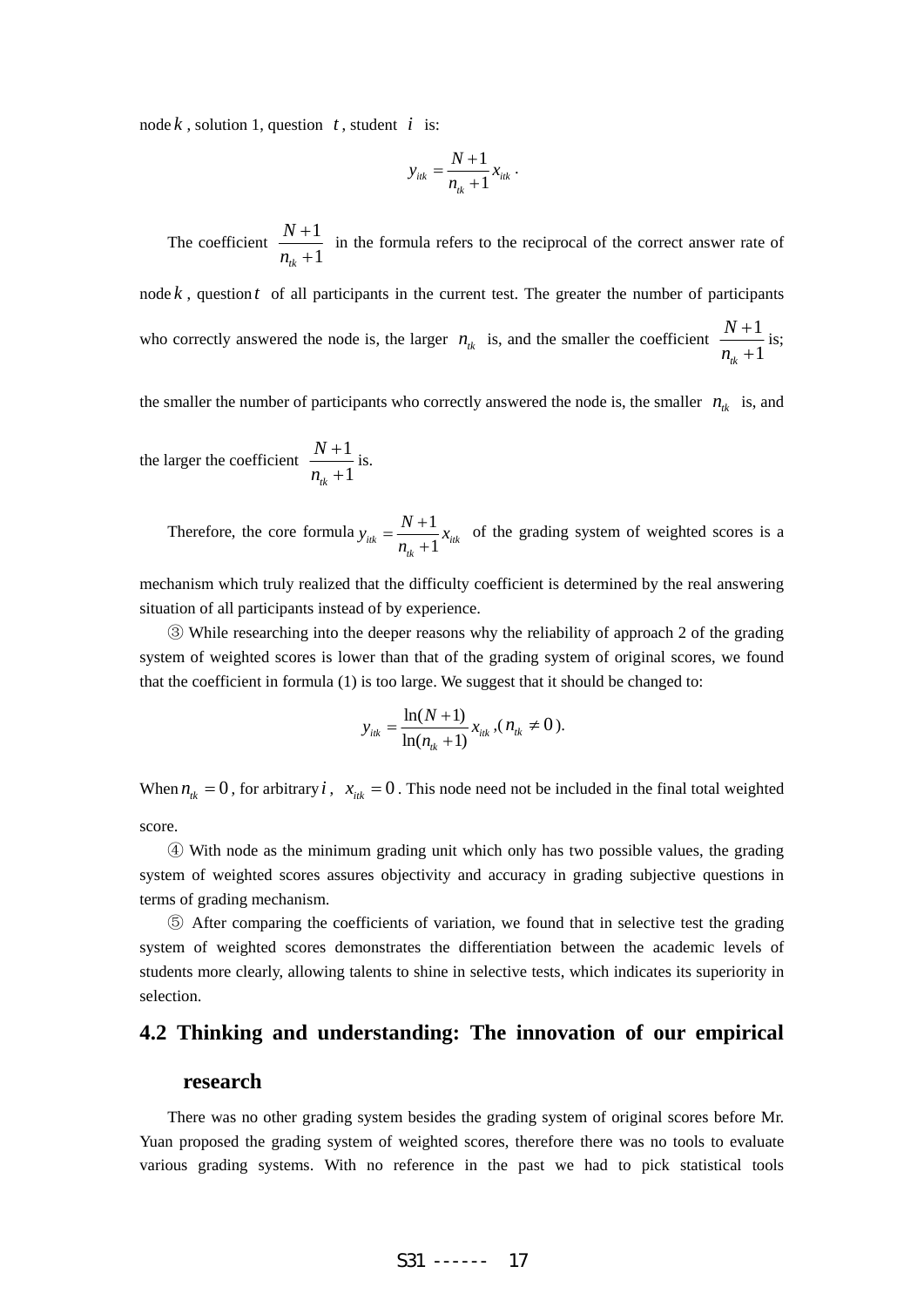node  $k$ , solution 1, question  $t$ , student  $i$  is:

$$
y_{ik} = \frac{N+1}{n_{ik}+1} x_{ik}.
$$

The coefficient  $\frac{N+1}{N}$  $t_{tk}$  + 1 *N n* +  $\frac{1}{x+1}$  in the formula refers to the reciprocal of the correct answer rate of node  $k$ , question  $t$  of all participants in the current test. The greater the number of participants who correctly answered the node is, the larger  $n_{ik}$  is, and the smaller the coefficient  $\frac{N+1}{N+1}$  $t_{ik} + 1$ *N n* +  $\frac{1}{+1}$  is;

the smaller the number of participants who correctly answered the node is, the smaller  $n_{ik}$  is, and

the larger the coefficient  $\frac{N+1}{N}$  $_{tk}$  +1 *N n* +  $\frac{1}{+1}$  is.

> Therefore, the core formula  $y_{i\mu} = \frac{N+1}{N}$  $\sum_{ik}$  **i**<sub>tk</sub> + 1  $y_{ijk} = \frac{N+1}{\lambda}x$  $=\frac{N+1}{n_{\mu}+1}x_{ik}$  of the grading system of weighted scores is a

mechanism which truly realized that the difficulty coefficient is determined by the real answering situation of all participants instead of by experience.

③ While researching into the deeper reasons why the reliability of approach 2 of the grading system of weighted scores is lower than that of the grading system of original scores, we found that the coefficient in formula (1) is too large. We suggest that it should be changed to:

$$
y_{ik} = \frac{\ln(N+1)}{\ln(n_{ik}+1)} x_{ik}, (n_{ik} \neq 0).
$$

When  $n_k = 0$ , for arbitrary *i*,  $x_{ik} = 0$ . This node need not be included in the final total weighted score.

④ With node as the minimum grading unit which only has two possible values, the grading system of weighted scores assures objectivity and accuracy in grading subjective questions in terms of grading mechanism.

⑤ After comparing the coefficients of variation, we found that in selective test the grading system of weighted scores demonstrates the differentiation between the academic levels of students more clearly, allowing talents to shine in selective tests, which indicates its superiority in selection.

## **4.2 Thinking and understanding: The innovation of our empirical**

#### **research**

There was no other grading system besides the grading system of original scores before Mr. Yuan proposed the grading system of weighted scores, therefore there was no tools to evaluate various grading systems. With no reference in the past we had to pick statistical tools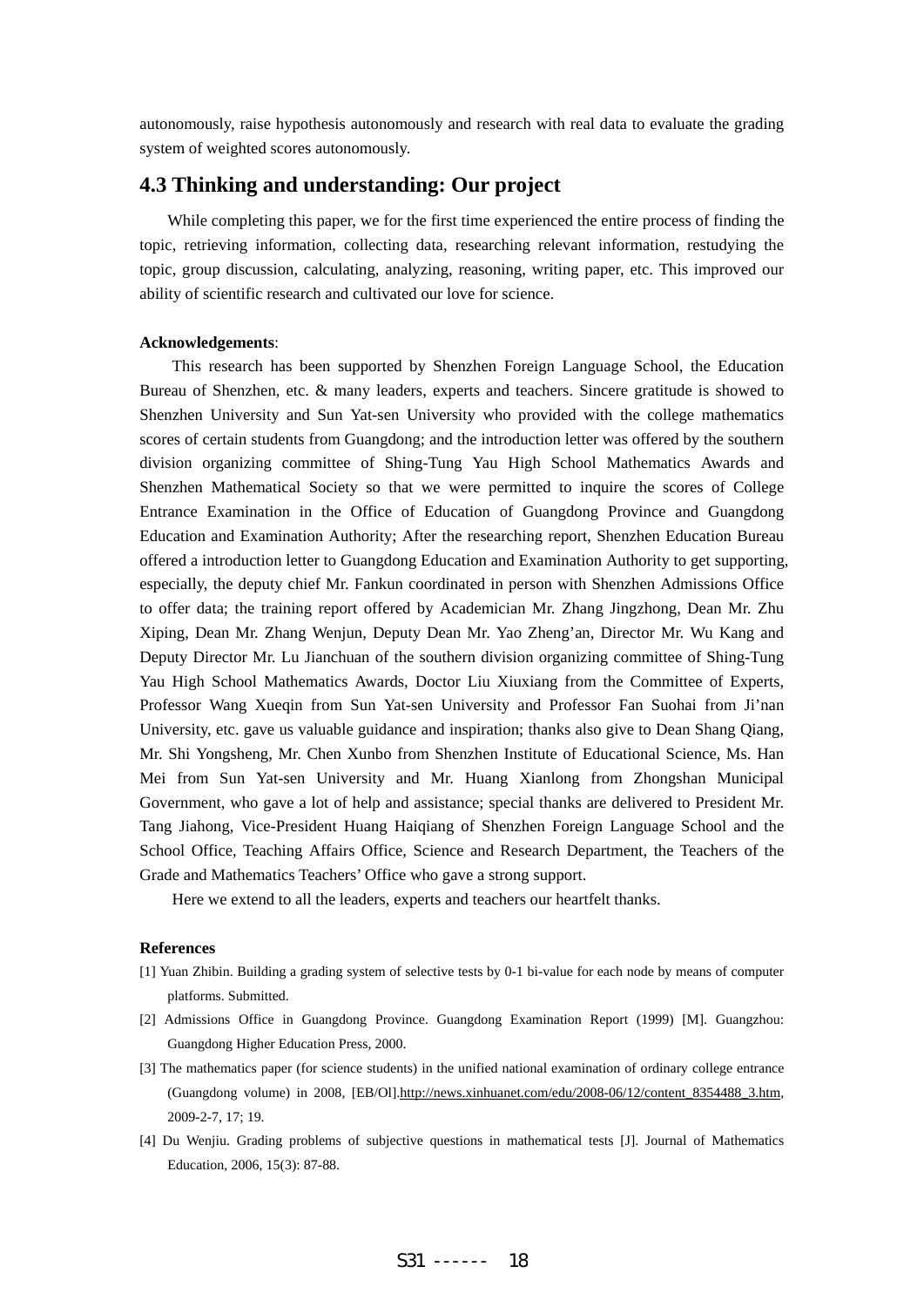autonomously, raise hypothesis autonomously and research with real data to evaluate the grading system of weighted scores autonomously.

# **4.3 Thinking and understanding: Our project**

While completing this paper, we for the first time experienced the entire process of finding the topic, retrieving information, collecting data, researching relevant information, restudying the topic, group discussion, calculating, analyzing, reasoning, writing paper, etc. This improved our ability of scientific research and cultivated our love for science.

#### **Acknowledgements**:

This research has been supported by Shenzhen Foreign Language School, the Education Bureau of Shenzhen, etc. & many leaders, experts and teachers. Sincere gratitude is showed to Shenzhen University and Sun Yat-sen University who provided with the college mathematics scores of certain students from Guangdong; and the introduction letter was offered by the southern division organizing committee of Shing-Tung Yau High School Mathematics Awards and Shenzhen Mathematical Society so that we were permitted to inquire the scores of College Entrance Examination in the Office of Education of Guangdong Province and Guangdong Education and Examination Authority; After the researching report, Shenzhen Education Bureau offered a introduction letter to Guangdong Education and Examination Authority to get supporting, especially, the deputy chief Mr. Fankun coordinated in person with Shenzhen Admissions Office to offer data; the training report offered by Academician Mr. Zhang Jingzhong, Dean Mr. Zhu Xiping, Dean Mr. Zhang Wenjun, Deputy Dean Mr. Yao Zheng'an, Director Mr. Wu Kang and Deputy Director Mr. Lu Jianchuan of the southern division organizing committee of Shing-Tung Yau High School Mathematics Awards, Doctor Liu Xiuxiang from the Committee of Experts, Professor Wang Xueqin from Sun Yat-sen University and Professor Fan Suohai from Ji'nan University, etc. gave us valuable guidance and inspiration; thanks also give to Dean Shang Qiang, Mr. Shi Yongsheng, Mr. Chen Xunbo from Shenzhen Institute of Educational Science, Ms. Han Mei from Sun Yat-sen University and Mr. Huang Xianlong from Zhongshan Municipal Government, who gave a lot of help and assistance; special thanks are delivered to President Mr. Tang Jiahong, Vice-President Huang Haiqiang of Shenzhen Foreign Language School and the School Office, Teaching Affairs Office, Science and Research Department, the Teachers of the Grade and Mathematics Teachers' Office who gave a strong support.

Here we extend to all the leaders, experts and teachers our heartfelt thanks.

#### **References**

- [1] Yuan Zhibin. Building a grading system of selective tests by 0-1 bi-value for each node by means of computer platforms. Submitted.
- [2] Admissions Office in Guangdong Province. Guangdong Examination Report (1999) [M]. Guangzhou: Guangdong Higher Education Press, 2000.
- [3] The mathematics paper (for science students) in the unified national examination of ordinary college entrance (Guangdong volume) in 2008, [EB/Ol].http://news.xinhuanet.com/edu/2008-06/12/content\_8354488\_3.htm, 2009-2-7, 17; 19.
- [4] Du Wenjiu. Grading problems of subjective questions in mathematical tests [J]. Journal of Mathematics Education, 2006, 15(3): 87-88.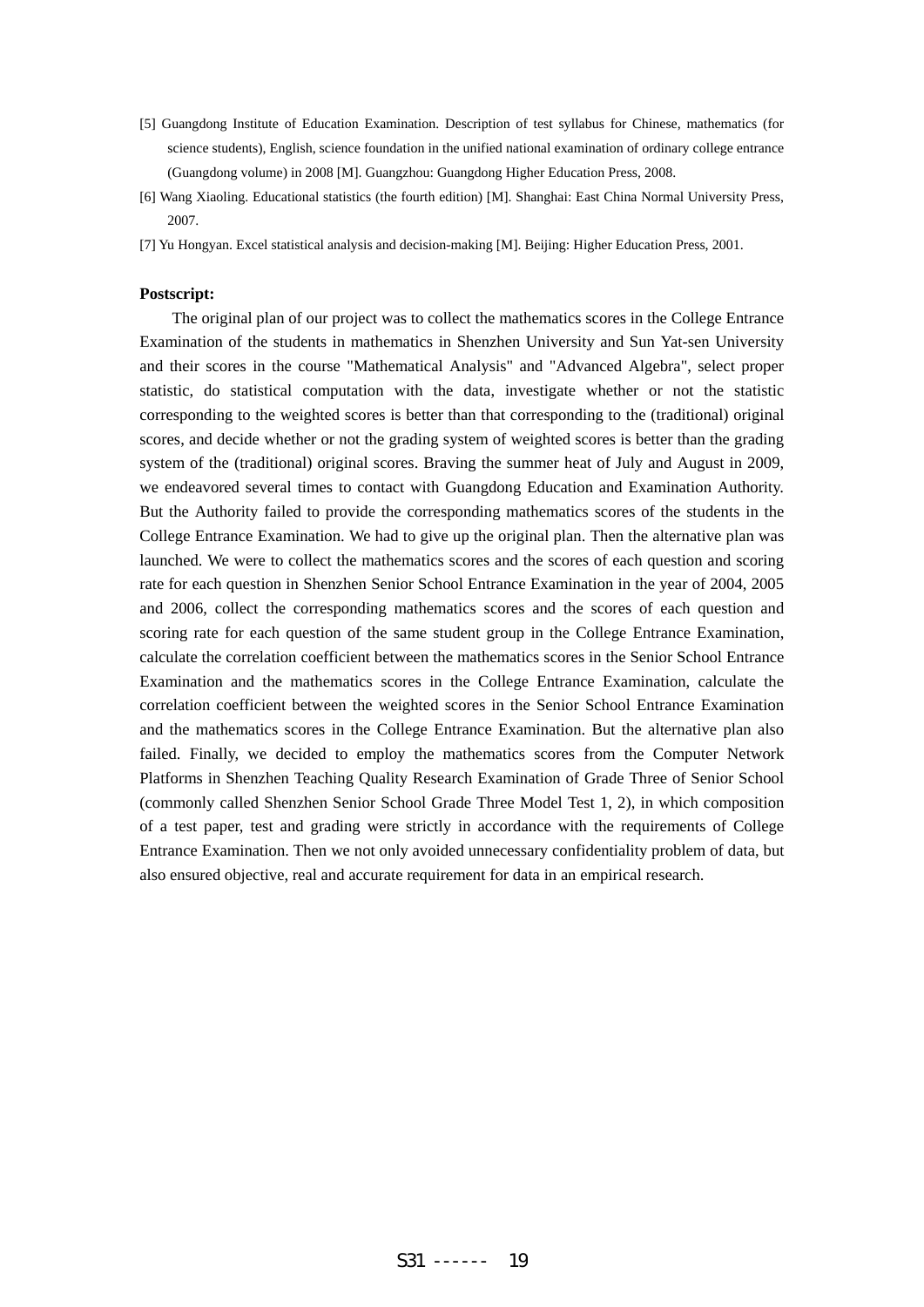- [5] Guangdong Institute of Education Examination. Description of test syllabus for Chinese, mathematics (for science students), English, science foundation in the unified national examination of ordinary college entrance (Guangdong volume) in 2008 [M]. Guangzhou: Guangdong Higher Education Press, 2008.
- [6] Wang Xiaoling. Educational statistics (the fourth edition) [M]. Shanghai: East China Normal University Press, 2007.
- [7] Yu Hongyan. Excel statistical analysis and decision-making [M]. Beijing: Higher Education Press, 2001.

#### **Postscript:**

The original plan of our project was to collect the mathematics scores in the College Entrance Examination of the students in mathematics in Shenzhen University and Sun Yat-sen University and their scores in the course "Mathematical Analysis" and "Advanced Algebra", select proper statistic, do statistical computation with the data, investigate whether or not the statistic corresponding to the weighted scores is better than that corresponding to the (traditional) original scores, and decide whether or not the grading system of weighted scores is better than the grading system of the (traditional) original scores. Braving the summer heat of July and August in 2009, we endeavored several times to contact with Guangdong Education and Examination Authority. But the Authority failed to provide the corresponding mathematics scores of the students in the College Entrance Examination. We had to give up the original plan. Then the alternative plan was launched. We were to collect the mathematics scores and the scores of each question and scoring rate for each question in Shenzhen Senior School Entrance Examination in the year of 2004, 2005 and 2006, collect the corresponding mathematics scores and the scores of each question and scoring rate for each question of the same student group in the College Entrance Examination, calculate the correlation coefficient between the mathematics scores in the Senior School Entrance Examination and the mathematics scores in the College Entrance Examination, calculate the correlation coefficient between the weighted scores in the Senior School Entrance Examination and the mathematics scores in the College Entrance Examination. But the alternative plan also failed. Finally, we decided to employ the mathematics scores from the Computer Network Platforms in Shenzhen Teaching Quality Research Examination of Grade Three of Senior School (commonly called Shenzhen Senior School Grade Three Model Test 1, 2), in which composition of a test paper, test and grading were strictly in accordance with the requirements of College Entrance Examination. Then we not only avoided unnecessary confidentiality problem of data, but also ensured objective, real and accurate requirement for data in an empirical research.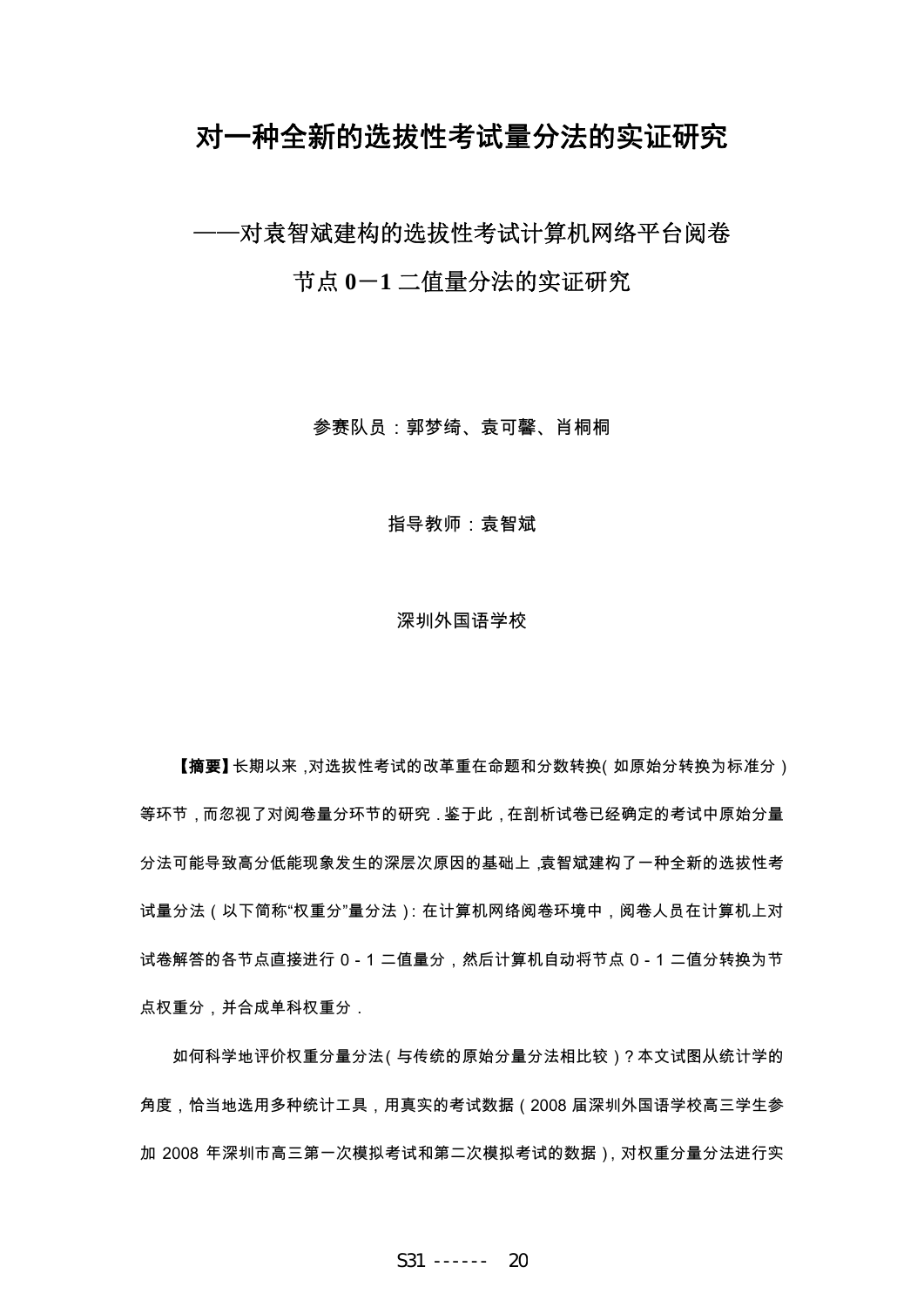# 对一种全新的选拔性考试量分法的实证研究

——对袁智斌建构的选拔性考试计算机网络平台阅卷

节点 **0**-**1** 二值量分法的实证研究

参赛队员:郭梦绮、袁可馨、肖桐桐

指导教师:袁智斌

#### 深圳外国语学校

【摘要】长期以来,对选拔性考试的改革重在命题和分数转换(如原始分转换为标准分) 等环节,而忽视了对阅卷量分环节的研究.鉴于此,在剖析试卷已经确定的考试中原始分量 分法可能导致高分低能现象发生的深层次原因的基础上,袁智斌建构了一种全新的选拔性考 试量分法(以下简称"权重分"量分法):在计算机网络阅卷环境中,阅卷人员在计算机上对 试卷解答的各节点直接进行 0-1 二值量分,然后计算机自动将节点 0-1 二值分转换为节 点权重分,并合成单科权重分.

如何科学地评价权重分量分法(与传统的原始分量分法相比较)?本文试图从统计学的 角度,恰当地选用多种统计工具,用真实的考试数据(2008 届深圳外国语学校高三学生参 加 2008 年深圳市高三第一次模拟考试和第二次模拟考试的数据),对权重分量分法进行实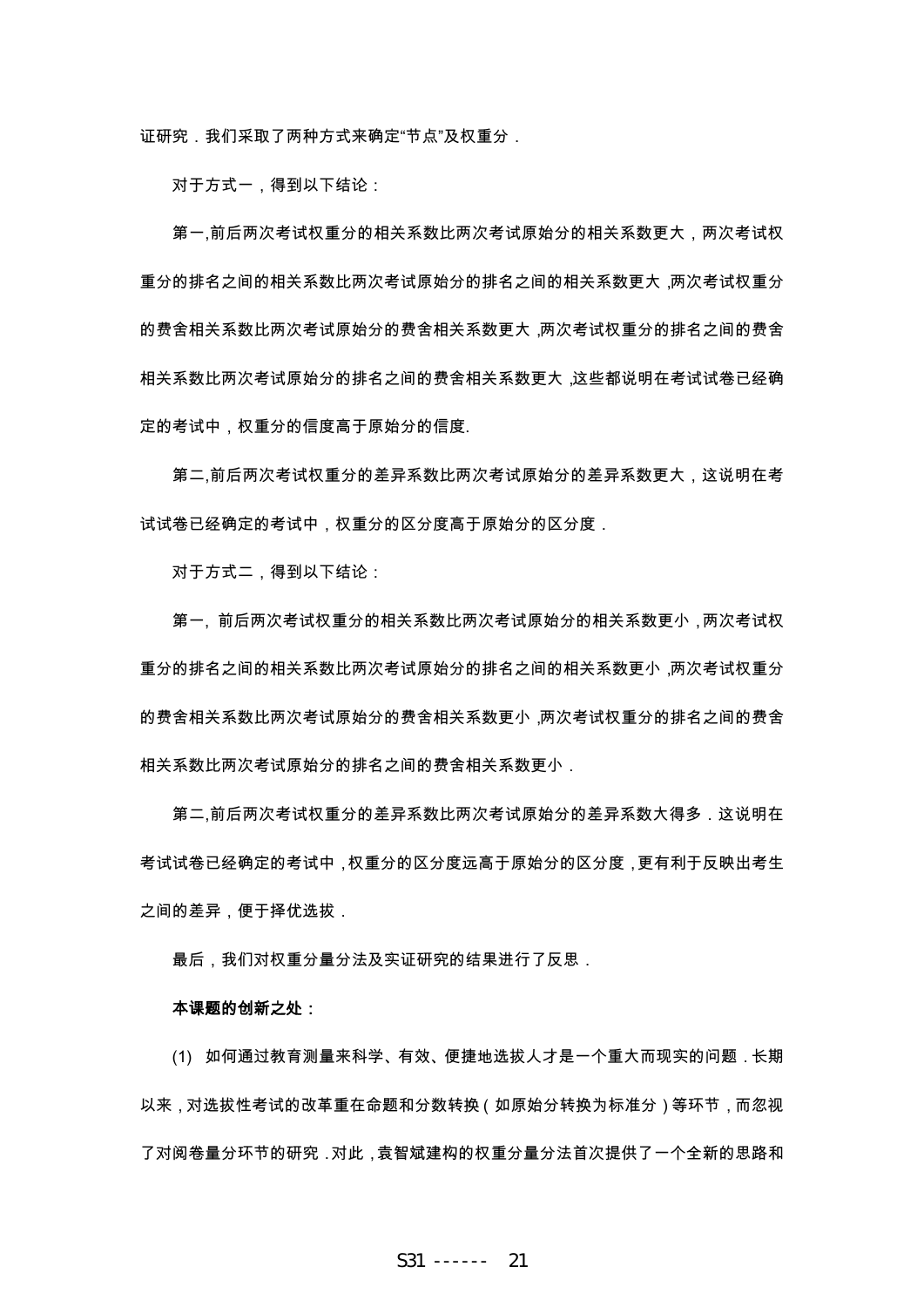证研究,我们采取了两种方式来确定"节点"及权重分,

对于方式一,得到以下结论:

第一,前后两次考试权重分的相关系数比两次考试原始分的相关系数更大,两次考试权 重分的排名之间的相关系数比两次考试原始分的排名之间的相关系数更大,两次考试权重分 的费舍相关系数比两次考试原始分的费舍相关系数更大,两次考试权重分的排名之间的费舍 相关系数比两次考试原始分的排名之间的费舍相关系数更大,这些都说明在考试试卷已经确 定的考试中,权重分的信度高于原始分的信度.

第二,前后两次考试权重分的差异系数比两次考试原始分的差异系数更大,这说明在考 试试卷已经确定的考试中,权重分的区分度高于原始分的区分度.

对于方式二,得到以下结论:

第一, 前后两次考试权重分的相关系数比两次考试原始分的相关系数更小,两次考试权 重分的排名之间的相关系数比两次考试原始分的排名之间的相关系数更小,两次考试权重分 的费舍相关系数比两次考试原始分的费舍相关系数更小,两次考试权重分的排名之间的费舍 相关系数比两次考试原始分的排名之间的费舍相关系数更小.

第二,前后两次考试权重分的差异系数比两次考试原始分的差异系数大得多,这说明在 考试试卷已经确定的考试中,权重分的区分度远高于原始分的区分度,更有利于反映出考生 之间的差异,便于择优选拔.

最后,我们对权重分量分法及实证研究的结果进行了反思.

#### 本课题的创新之处:

(1) 如何通过教育测量来科学、有效、便捷地选拔人才是一个重大而现实的问题.长期 以来,对选拔性考试的改革重在命题和分数转换(如原始分转换为标准分)等环节,而忽视 了对阅卷量分环节的研究.对此,袁智斌建构的权重分量分法首次提供了一个全新的思路和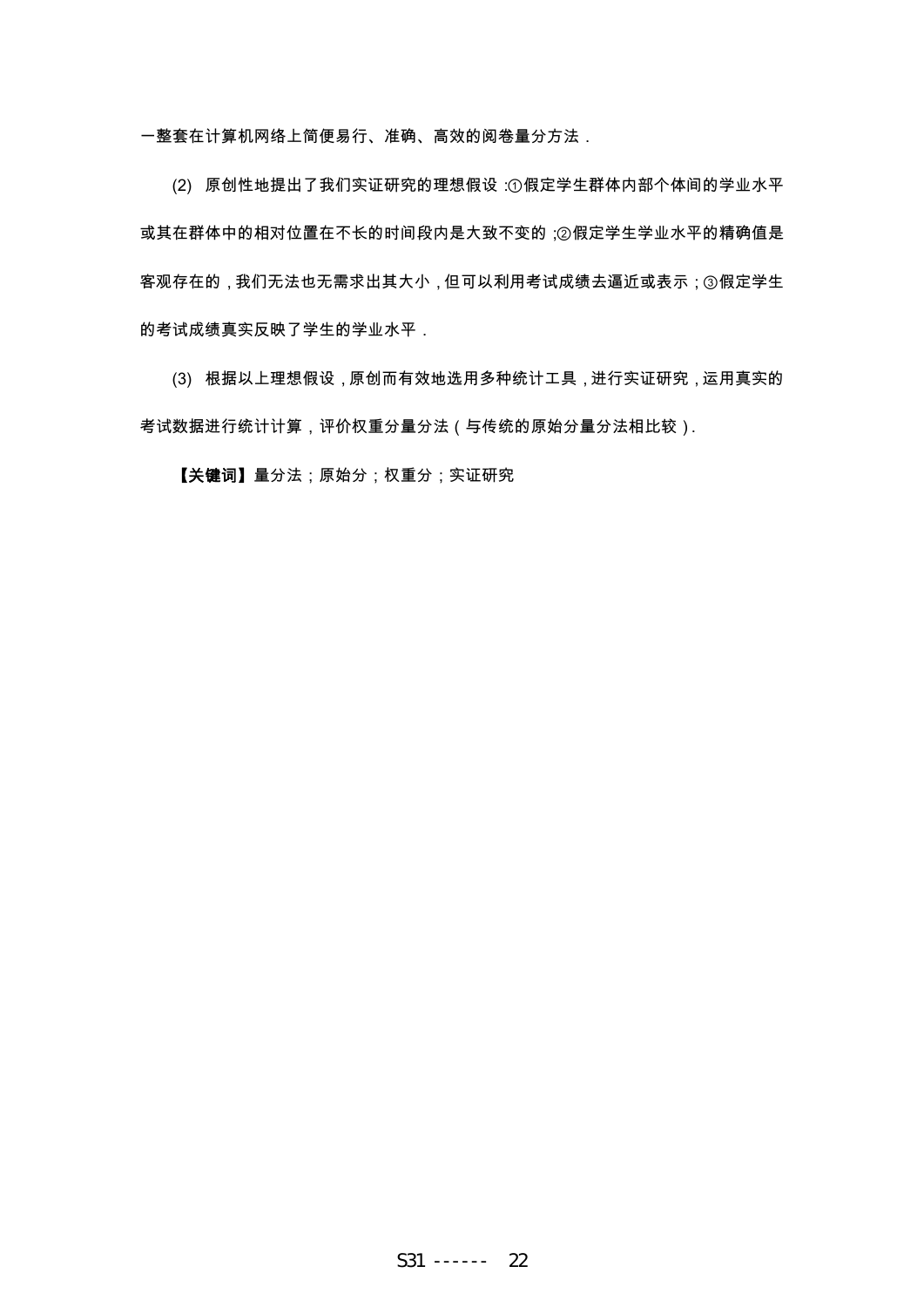一整套在计算机网络上简便易行、准确、高效的阅卷量分方法.

(2) 原创性地提出了我们实证研究的理想假设:①假定学生群体内部个体间的学业水平 或其在群体中的相对位置在不长的时间段内是大致不变的;②假定学生学业水平的精确值是 客观存在的,我们无法也无需求出其大小,但可以利用考试成绩去逼近或表示;③假定学生 的考试成绩真实反映了学生的学业水平.

(3) 根据以上理想假设,原创而有效地选用多种统计工具,进行实证研究,运用真实的 考试数据进行统计计算,评价权重分量分法(与传统的原始分量分法相比较).

【关键词】量分法;原始分;权重分;实证研究